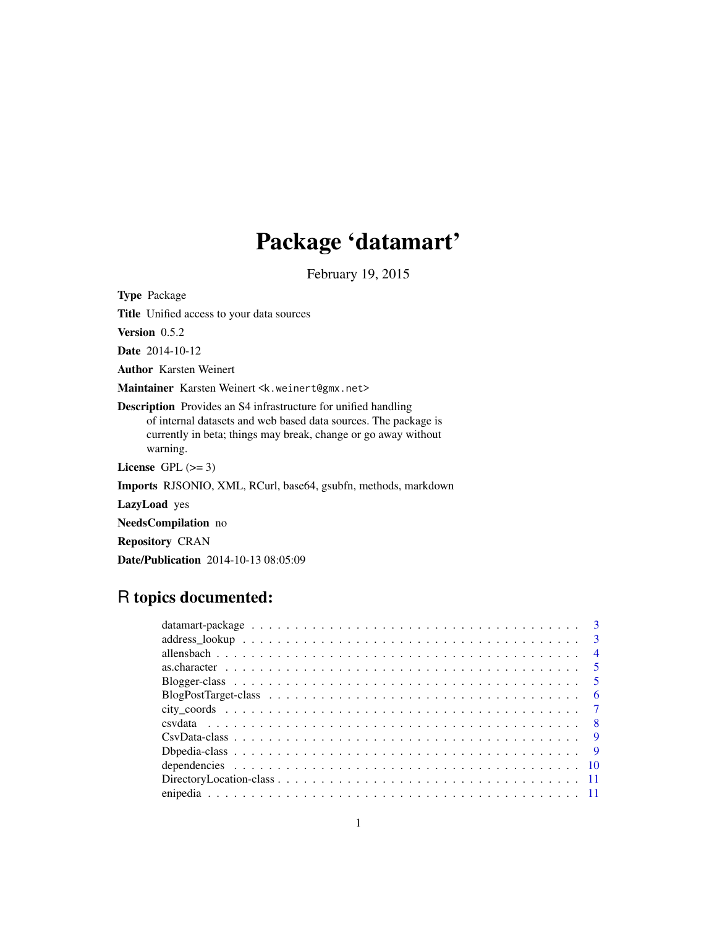# Package 'datamart'

February 19, 2015

Type Package Title Unified access to your data sources Version 0.5.2 Date 2014-10-12 Author Karsten Weinert Maintainer Karsten Weinert <k.weinert@gmx.net> Description Provides an S4 infrastructure for unified handling of internal datasets and web based data sources. The package is currently in beta; things may break, change or go away without warning. License GPL  $(>= 3)$ Imports RJSONIO, XML, RCurl, base64, gsubfn, methods, markdown LazyLoad yes NeedsCompilation no Repository CRAN

# R topics documented:

Date/Publication 2014-10-13 08:05:09

|                                                                                                                       | - 6 |
|-----------------------------------------------------------------------------------------------------------------------|-----|
|                                                                                                                       |     |
|                                                                                                                       |     |
| $CsvData-class \dots \dots \dots \dots \dots \dots \dots \dots \dots \dots \dots \dots \dots \dots \dots \dots \dots$ |     |
|                                                                                                                       |     |
|                                                                                                                       |     |
|                                                                                                                       |     |
|                                                                                                                       |     |
|                                                                                                                       |     |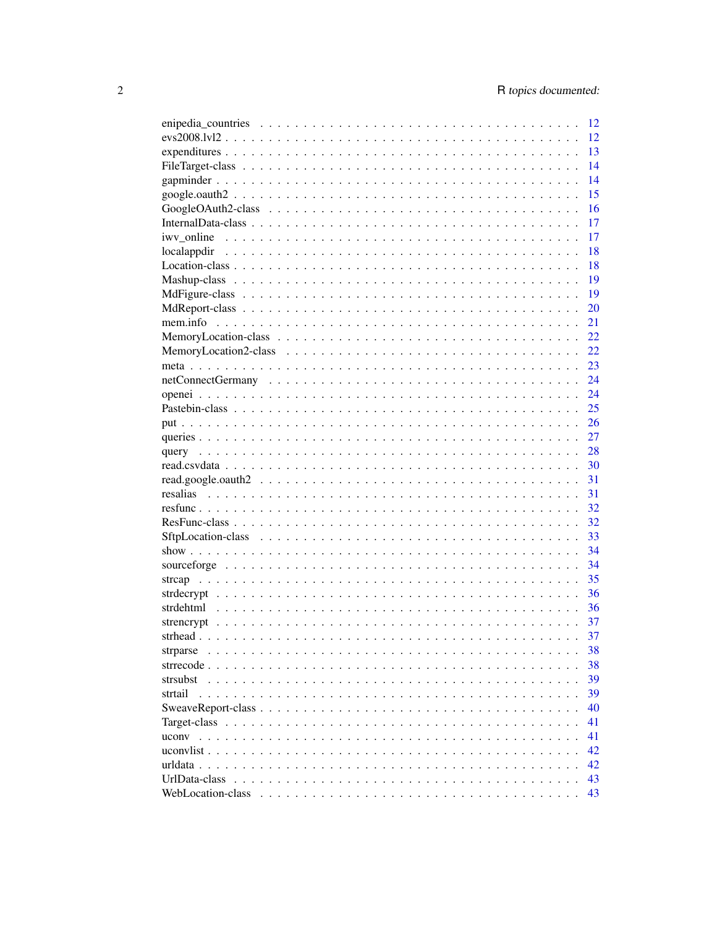|                                                                                                                                                                                                                                                                                                                                                   | 12 |
|---------------------------------------------------------------------------------------------------------------------------------------------------------------------------------------------------------------------------------------------------------------------------------------------------------------------------------------------------|----|
| $evs2008.1v12$                                                                                                                                                                                                                                                                                                                                    | 12 |
|                                                                                                                                                                                                                                                                                                                                                   | 13 |
|                                                                                                                                                                                                                                                                                                                                                   | 14 |
|                                                                                                                                                                                                                                                                                                                                                   | 14 |
|                                                                                                                                                                                                                                                                                                                                                   | 15 |
|                                                                                                                                                                                                                                                                                                                                                   | 16 |
|                                                                                                                                                                                                                                                                                                                                                   | 17 |
|                                                                                                                                                                                                                                                                                                                                                   | 17 |
|                                                                                                                                                                                                                                                                                                                                                   | 18 |
|                                                                                                                                                                                                                                                                                                                                                   | 18 |
|                                                                                                                                                                                                                                                                                                                                                   | 19 |
|                                                                                                                                                                                                                                                                                                                                                   | 19 |
|                                                                                                                                                                                                                                                                                                                                                   | 20 |
|                                                                                                                                                                                                                                                                                                                                                   | 21 |
|                                                                                                                                                                                                                                                                                                                                                   | 22 |
|                                                                                                                                                                                                                                                                                                                                                   | 22 |
|                                                                                                                                                                                                                                                                                                                                                   | 23 |
|                                                                                                                                                                                                                                                                                                                                                   | 24 |
|                                                                                                                                                                                                                                                                                                                                                   | 24 |
|                                                                                                                                                                                                                                                                                                                                                   | 25 |
|                                                                                                                                                                                                                                                                                                                                                   | 26 |
|                                                                                                                                                                                                                                                                                                                                                   | 27 |
|                                                                                                                                                                                                                                                                                                                                                   | 28 |
|                                                                                                                                                                                                                                                                                                                                                   | 30 |
|                                                                                                                                                                                                                                                                                                                                                   | 31 |
|                                                                                                                                                                                                                                                                                                                                                   | 31 |
|                                                                                                                                                                                                                                                                                                                                                   | 32 |
|                                                                                                                                                                                                                                                                                                                                                   | 32 |
|                                                                                                                                                                                                                                                                                                                                                   | 33 |
|                                                                                                                                                                                                                                                                                                                                                   | 34 |
|                                                                                                                                                                                                                                                                                                                                                   | 34 |
|                                                                                                                                                                                                                                                                                                                                                   | 35 |
|                                                                                                                                                                                                                                                                                                                                                   | 36 |
|                                                                                                                                                                                                                                                                                                                                                   | 36 |
|                                                                                                                                                                                                                                                                                                                                                   | 37 |
|                                                                                                                                                                                                                                                                                                                                                   | 37 |
| strparse                                                                                                                                                                                                                                                                                                                                          | 38 |
| strrecode<br>$\mathbf{r}$ . The set of the set of the set of the set of the set of the set of the set of the set of the set of the set of the set of the set of the set of the set of the set of the set of the set of the set of the set of t<br>$\cdot$ $\cdot$ $\cdot$<br>$\ddotsc$<br>$\cdot$ $\cdot$ $\cdot$ $\cdot$<br>$\ddot{\phantom{a}}$ | 38 |
| strsubst                                                                                                                                                                                                                                                                                                                                          | 39 |
| strtail                                                                                                                                                                                                                                                                                                                                           | 39 |
|                                                                                                                                                                                                                                                                                                                                                   | 40 |
|                                                                                                                                                                                                                                                                                                                                                   | 41 |
| uconv                                                                                                                                                                                                                                                                                                                                             | 41 |
|                                                                                                                                                                                                                                                                                                                                                   | 42 |
| urldata                                                                                                                                                                                                                                                                                                                                           | 42 |
| UrlData-class                                                                                                                                                                                                                                                                                                                                     | 43 |
| WebLocation-class                                                                                                                                                                                                                                                                                                                                 | 43 |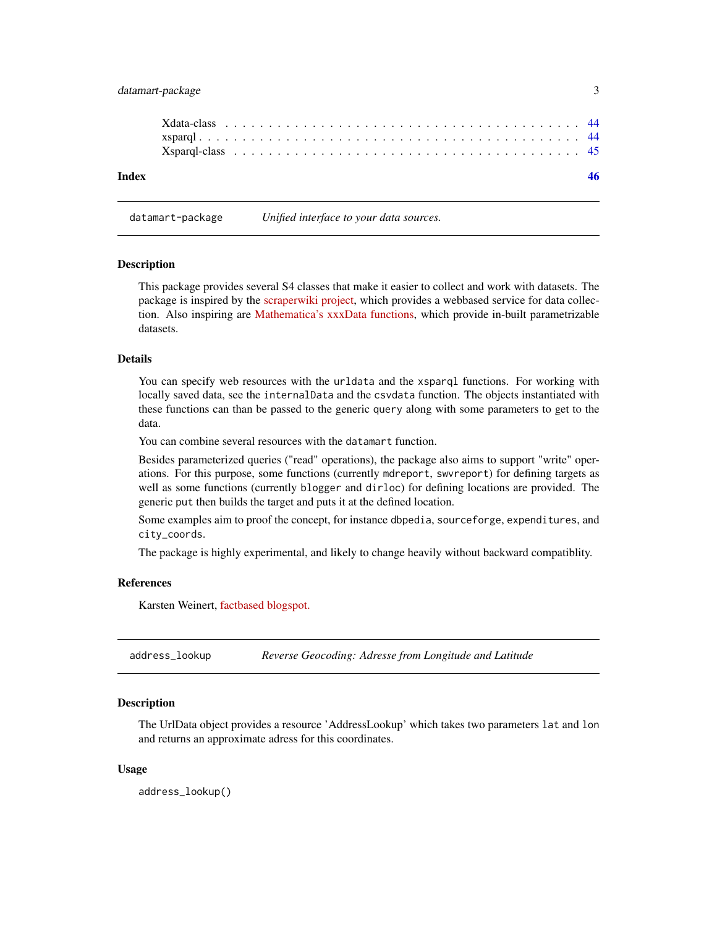# <span id="page-2-0"></span>datamart-package 3

#### datamart-package *Unified interface to your data sources.*

#### Description

This package provides several S4 classes that make it easier to collect and work with datasets. The package is inspired by the [scraperwiki project,](https://bitbucket.org/ScraperWiki/scraperwiki) which provides a webbased service for data collection. Also inspiring are [Mathematica's xxxData functions,](http://reference.wolfram.com/mathematica/ref/CountryData.html) which provide in-built parametrizable datasets.

#### Details

You can specify web resources with the urldata and the xsparql functions. For working with locally saved data, see the internalData and the csvdata function. The objects instantiated with these functions can than be passed to the generic query along with some parameters to get to the data.

You can combine several resources with the datamart function.

Besides parameterized queries ("read" operations), the package also aims to support "write" operations. For this purpose, some functions (currently mdreport, swvreport) for defining targets as well as some functions (currently blogger and dirloc) for defining locations are provided. The generic put then builds the target and puts it at the defined location.

Some examples aim to proof the concept, for instance dbpedia, sourceforge, expenditures, and city\_coords.

The package is highly experimental, and likely to change heavily without backward compatiblity.

#### References

Karsten Weinert, [factbased blogspot.](http://factbased.blogspot.com/search/label/datamart)

address\_lookup *Reverse Geocoding: Adresse from Longitude and Latitude*

# **Description**

The UrlData object provides a resource 'AddressLookup' which takes two parameters lat and lon and returns an approximate adress for this coordinates.

#### Usage

address\_lookup()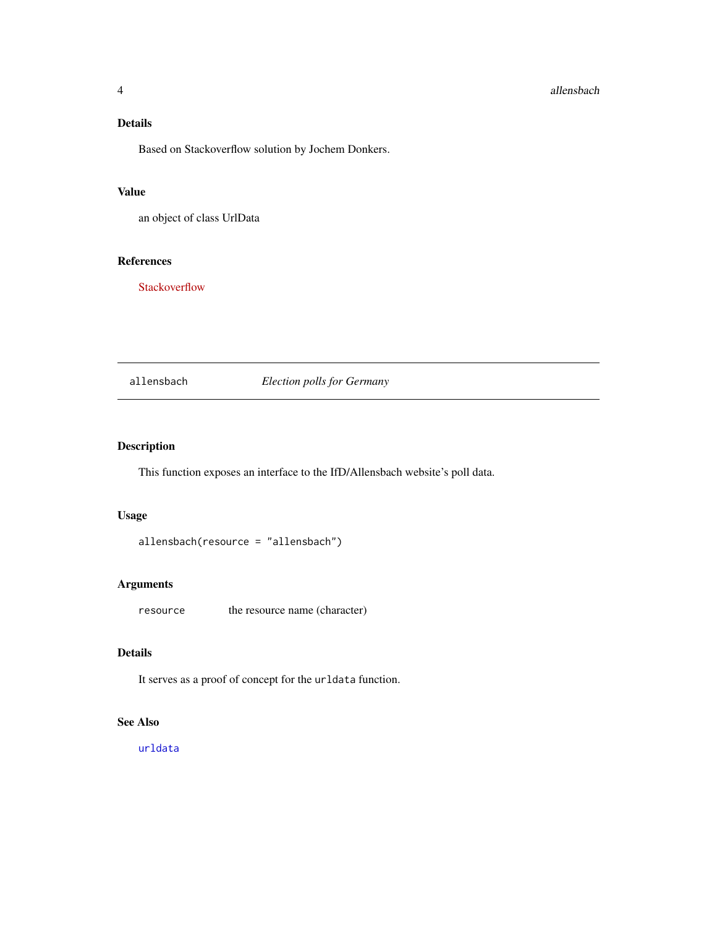# <span id="page-3-0"></span>Details

Based on Stackoverflow solution by Jochem Donkers.

#### Value

an object of class UrlData

#### References

**[Stackoverflow](http://stackoverflow.com/questions/13905098/how-to-get-the-longitude-and-latitude-coordinates-from-a-city-name-and-country-i)** 

allensbach *Election polls for Germany*

# Description

This function exposes an interface to the IfD/Allensbach website's poll data.

# Usage

allensbach(resource = "allensbach")

# Arguments

resource the resource name (character)

# Details

It serves as a proof of concept for the urldata function.

# See Also

[urldata](#page-41-1)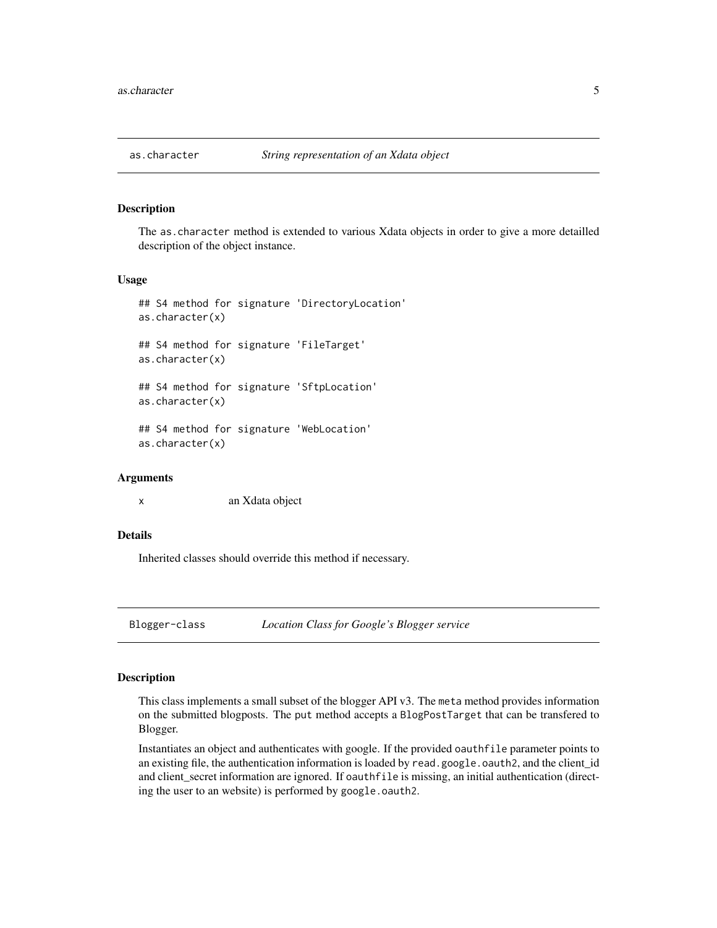<span id="page-4-0"></span>

The as.character method is extended to various Xdata objects in order to give a more detailled description of the object instance.

#### Usage

```
## S4 method for signature 'DirectoryLocation'
as.character(x)
## S4 method for signature 'FileTarget'
as.character(x)
## S4 method for signature 'SftpLocation'
as.character(x)
## S4 method for signature 'WebLocation'
as.character(x)
```
#### Arguments

x an Xdata object

#### Details

Inherited classes should override this method if necessary.

Blogger-class *Location Class for Google's Blogger service*

# <span id="page-4-1"></span>Description

This class implements a small subset of the blogger API v3. The meta method provides information on the submitted blogposts. The put method accepts a BlogPostTarget that can be transfered to Blogger.

Instantiates an object and authenticates with google. If the provided oauthfile parameter points to an existing file, the authentication information is loaded by read.google.oauth2, and the client\_id and client\_secret information are ignored. If oauthfile is missing, an initial authentication (directing the user to an website) is performed by google.oauth2.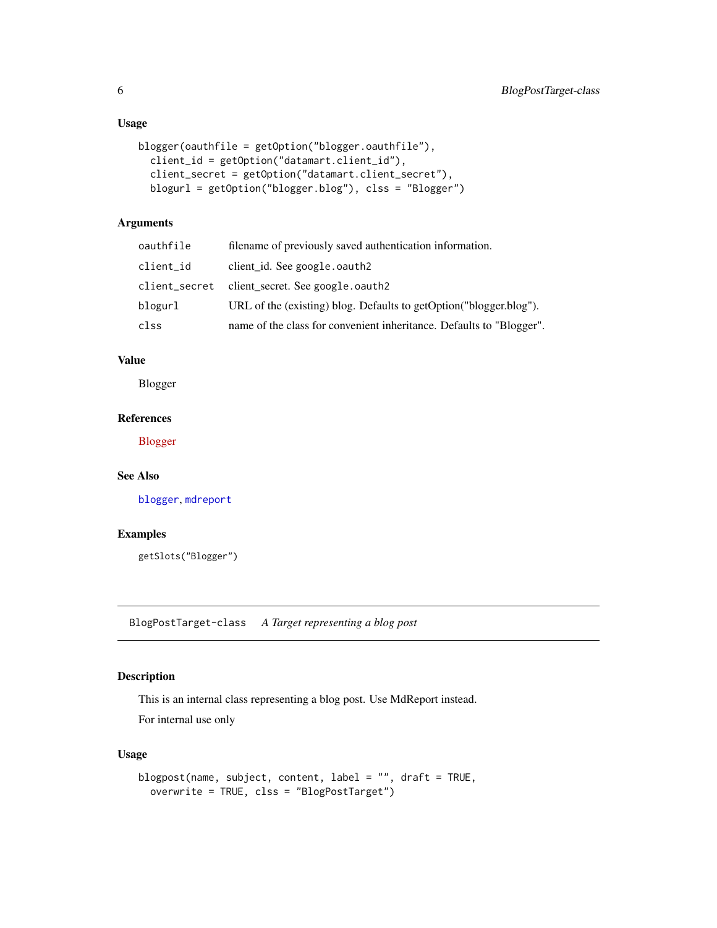# Usage

```
blogger(oauthfile = getOption("blogger.oauthfile"),
 client_id = getOption("datamart.client_id"),
  client_secret = getOption("datamart.client_secret"),
 blogurl = getOption("blogger.blog"), clss = "Blogger")
```
# Arguments

| oauthfile     | filename of previously saved authentication information.             |
|---------------|----------------------------------------------------------------------|
| client_id     | client id. See google.oauth2                                         |
| client_secret | client secret. See google.oauth2                                     |
| blogurl       | URL of the (existing) blog. Defaults to getOption("blogger.blog").   |
| clss          | name of the class for convenient inheritance. Defaults to "Blogger". |

# Value

Blogger

# References

[Blogger](https://developers.google.com/blogger/docs/3.0/)

# See Also

[blogger](#page-4-1), [mdreport](#page-19-1)

#### Examples

getSlots("Blogger")

BlogPostTarget-class *A Target representing a blog post*

# <span id="page-5-1"></span>Description

This is an internal class representing a blog post. Use MdReport instead. For internal use only

```
blogpost(name, subject, content, label = "", draft = TRUE,
 overwrite = TRUE, clss = "BlogPostTarget")
```
<span id="page-5-0"></span>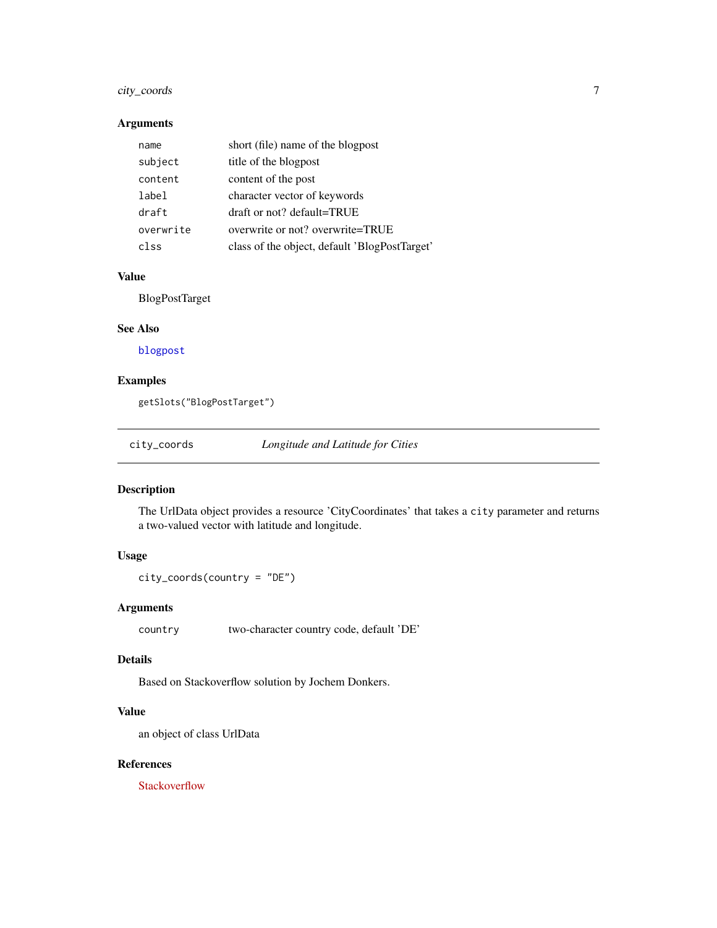# <span id="page-6-0"></span>city\_coords 7

# Arguments

| name      | short (file) name of the blogpost             |
|-----------|-----------------------------------------------|
| subject   | title of the blogpost                         |
| content   | content of the post                           |
| label     | character vector of keywords                  |
| draft     | draft or not? default=TRUE                    |
| overwrite | overwrite or not? overwrite=TRUE              |
| clss      | class of the object, default 'BlogPostTarget' |

# Value

BlogPostTarget

#### See Also

[blogpost](#page-5-1)

# Examples

getSlots("BlogPostTarget")

city\_coords *Longitude and Latitude for Cities*

# Description

The UrlData object provides a resource 'CityCoordinates' that takes a city parameter and returns a two-valued vector with latitude and longitude.

# Usage

city\_coords(country = "DE")

#### Arguments

country two-character country code, default 'DE'

#### Details

Based on Stackoverflow solution by Jochem Donkers.

# Value

an object of class UrlData

#### References

[Stackoverflow](http://stackoverflow.com/questions/13905098/how-to-get-the-longitude-and-latitude-coordinates-from-a-city-name-and-country-i)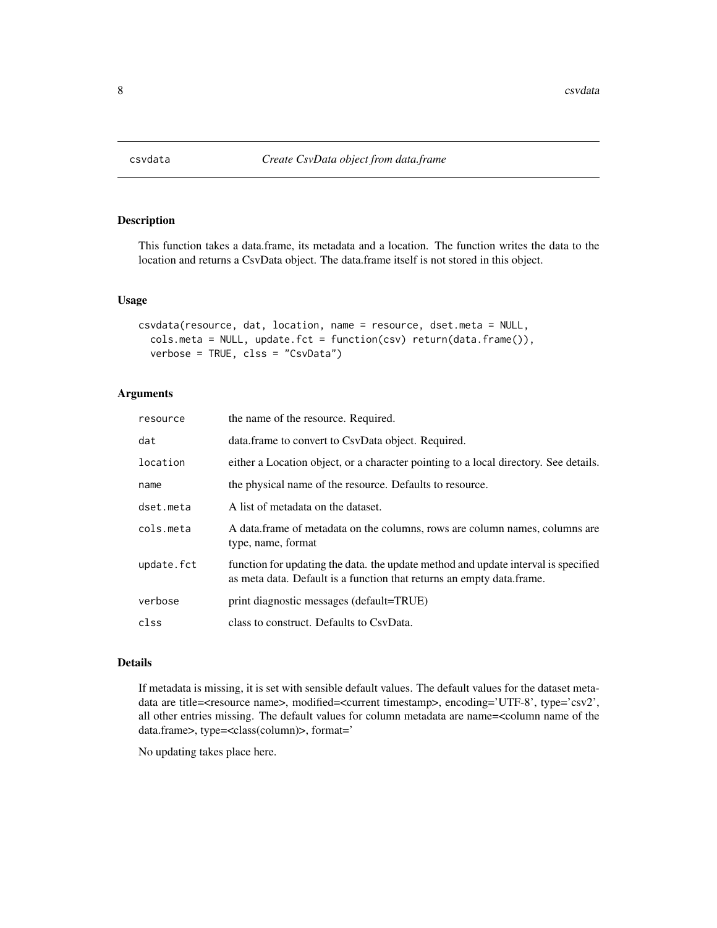<span id="page-7-1"></span><span id="page-7-0"></span>

This function takes a data.frame, its metadata and a location. The function writes the data to the location and returns a CsvData object. The data.frame itself is not stored in this object.

#### Usage

```
csvdata(resource, dat, location, name = resource, dset.meta = NULL,
  cols.meta = NULL, update.fct = function(csv) return(data.frame()),
  verbose = TRUE, clss = "CsvData")
```
# Arguments

| resource   | the name of the resource. Required.                                                                                                                         |
|------------|-------------------------------------------------------------------------------------------------------------------------------------------------------------|
| dat        | data.frame to convert to CsvData object. Required.                                                                                                          |
| location   | either a Location object, or a character pointing to a local directory. See details.                                                                        |
| name       | the physical name of the resource. Defaults to resource.                                                                                                    |
| dset.meta  | A list of metadata on the dataset.                                                                                                                          |
| cols.meta  | A data frame of metadata on the columns, rows are column names, columns are<br>type, name, format                                                           |
| update.fct | function for updating the data, the update method and update interval is specified<br>as meta data. Default is a function that returns an empty data.frame. |
| verbose    | print diagnostic messages (default=TRUE)                                                                                                                    |
| clss       | class to construct. Defaults to CsyData.                                                                                                                    |

#### Details

If metadata is missing, it is set with sensible default values. The default values for the dataset metadata are title=<resource name>, modified=<current timestamp>, encoding='UTF-8', type='csv2', all other entries missing. The default values for column metadata are name=<column name of the data.frame>, type=<class(column)>, format='

No updating takes place here.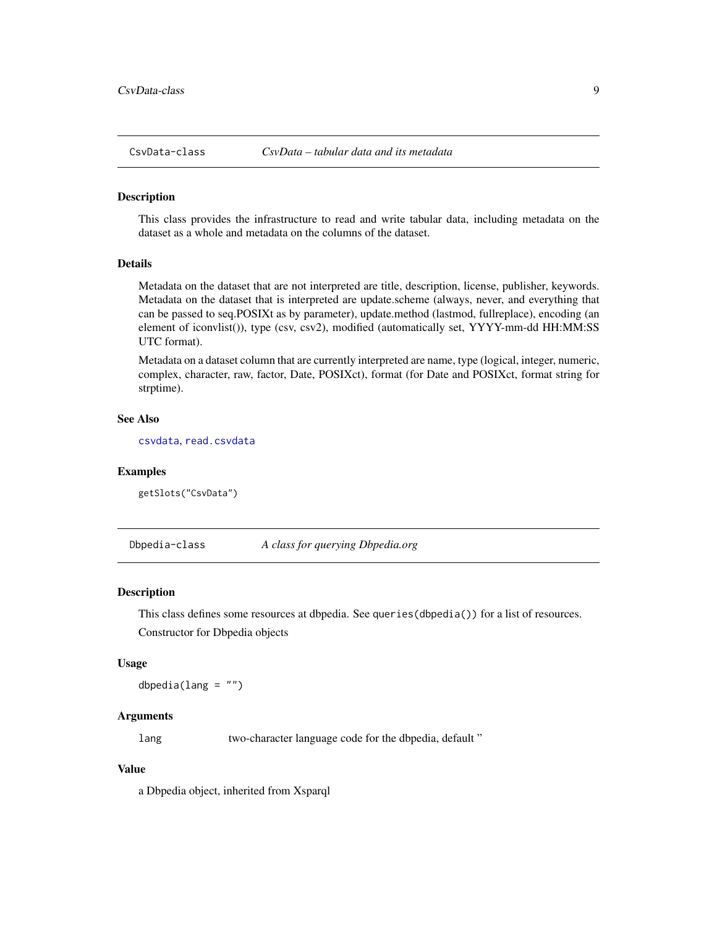<span id="page-8-0"></span>

This class provides the infrastructure to read and write tabular data, including metadata on the dataset as a whole and metadata on the columns of the dataset.

#### Details

Metadata on the dataset that are not interpreted are title, description, license, publisher, keywords. Metadata on the dataset that is interpreted are update.scheme (always, never, and everything that can be passed to seq.POSIXt as by parameter), update.method (lastmod, fullreplace), encoding (an element of iconvlist()), type (csv, csv2), modified (automatically set, YYYY-mm-dd HH:MM:SS UTC format).

Metadata on a dataset column that are currently interpreted are name, type (logical, integer, numeric, complex, character, raw, factor, Date, POSIXct), format (for Date and POSIXct, format string for strptime).

#### See Also

[csvdata](#page-7-1), [read.csvdata](#page-29-1)

#### Examples

getSlots("CsvData")

Dbpedia-class *A class for querying Dbpedia.org*

#### <span id="page-8-1"></span>**Description**

This class defines some resources at dbpedia. See queries(dbpedia()) for a list of resources. Constructor for Dbpedia objects

#### Usage

dbpedia(lang =  $"$ )

# Arguments

lang two-character language code for the dbpedia, default "

#### Value

a Dbpedia object, inherited from Xsparql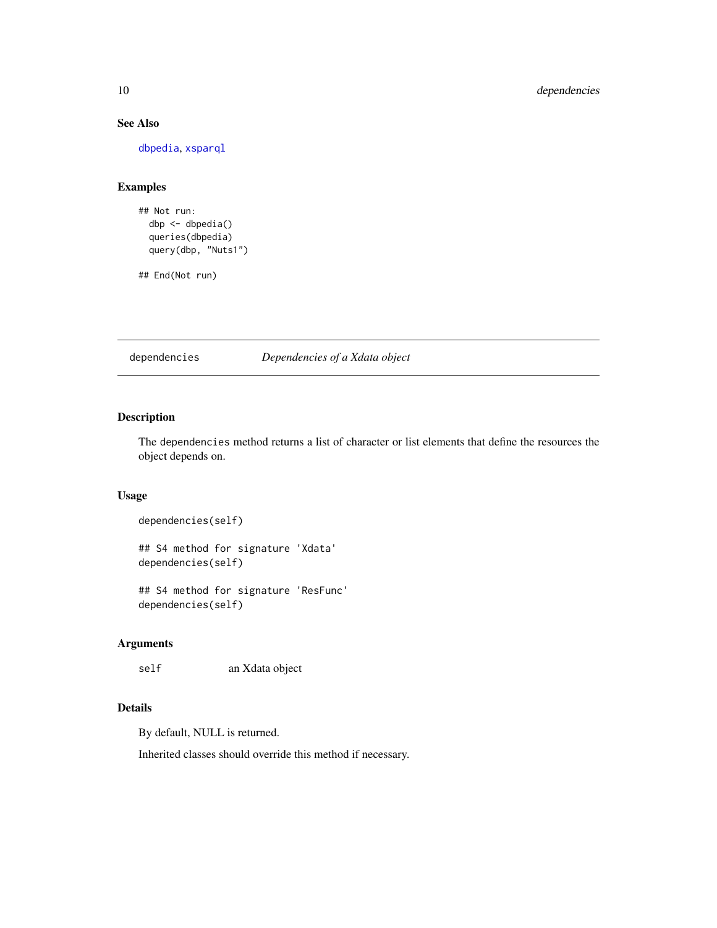# See Also

[dbpedia](#page-8-1), [xsparql](#page-43-1)

# Examples

```
## Not run:
 dbp <- dbpedia()
 queries(dbpedia)
 query(dbp, "Nuts1")
```
## End(Not run)

dependencies *Dependencies of a Xdata object*

# Description

The dependencies method returns a list of character or list elements that define the resources the object depends on.

# Usage

```
dependencies(self)
```

```
## S4 method for signature 'Xdata'
dependencies(self)
```
## S4 method for signature 'ResFunc' dependencies(self)

# Arguments

self an Xdata object

#### Details

By default, NULL is returned.

Inherited classes should override this method if necessary.

<span id="page-9-0"></span>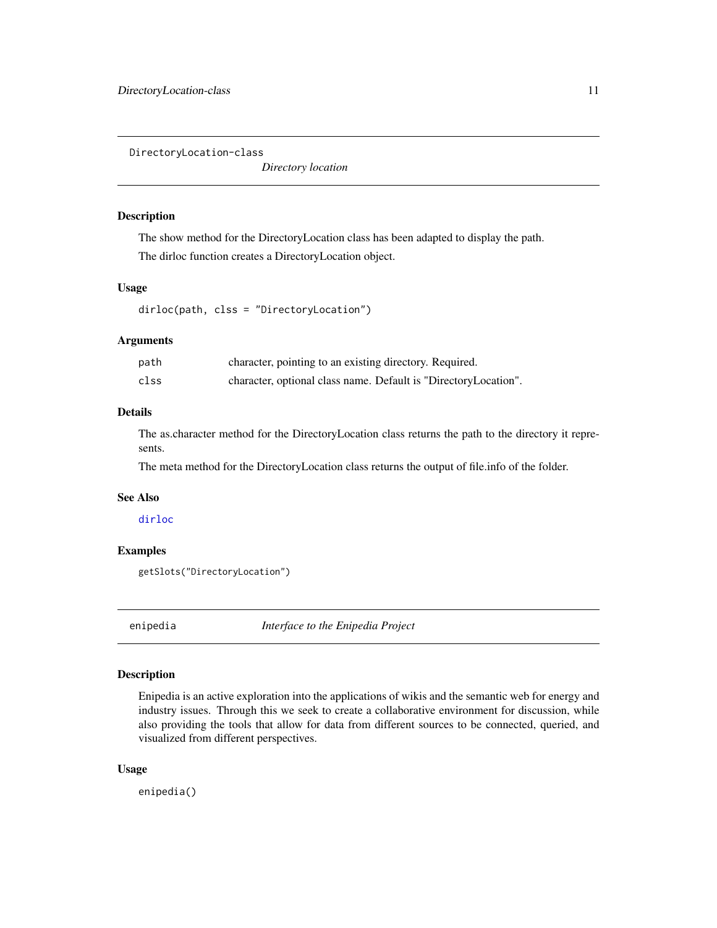<span id="page-10-0"></span>DirectoryLocation-class

*Directory location*

#### <span id="page-10-1"></span>Description

The show method for the DirectoryLocation class has been adapted to display the path. The dirloc function creates a DirectoryLocation object.

#### Usage

dirloc(path, clss = "DirectoryLocation")

# Arguments

| path | character, pointing to an existing directory. Required.         |
|------|-----------------------------------------------------------------|
| clss | character, optional class name. Default is "DirectoryLocation". |

# Details

The as.character method for the DirectoryLocation class returns the path to the directory it represents.

The meta method for the DirectoryLocation class returns the output of file.info of the folder.

#### See Also

#### [dirloc](#page-10-1)

#### Examples

```
getSlots("DirectoryLocation")
```
<span id="page-10-2"></span>enipedia *Interface to the Enipedia Project*

#### Description

Enipedia is an active exploration into the applications of wikis and the semantic web for energy and industry issues. Through this we seek to create a collaborative environment for discussion, while also providing the tools that allow for data from different sources to be connected, queried, and visualized from different perspectives.

#### Usage

enipedia()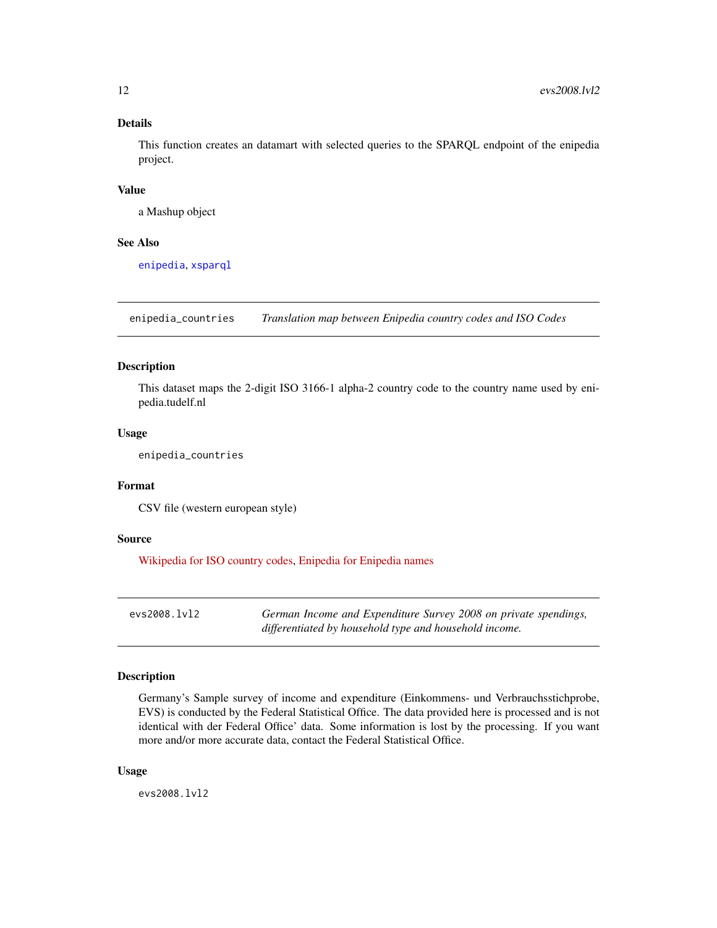#### <span id="page-11-0"></span>Details

This function creates an datamart with selected queries to the SPARQL endpoint of the enipedia project.

#### Value

a Mashup object

#### See Also

[enipedia](#page-10-2), [xsparql](#page-43-1)

enipedia\_countries *Translation map between Enipedia country codes and ISO Codes*

# Description

This dataset maps the 2-digit ISO 3166-1 alpha-2 country code to the country name used by enipedia.tudelf.nl

#### Usage

enipedia\_countries

#### Format

CSV file (western european style)

#### Source

[Wikipedia for ISO country codes,](http://en.wikipedia.org/wiki/ISO_3166-1_alpha-2) [Enipedia for Enipedia names](http://enipedia.tudelft.nl/wiki/Using_SPARQL_with_Enipedia)

evs2008.lvl2 *German Income and Expenditure Survey 2008 on private spendings, differentiated by household type and household income.*

# Description

Germany's Sample survey of income and expenditure (Einkommens- und Verbrauchsstichprobe, EVS) is conducted by the Federal Statistical Office. The data provided here is processed and is not identical with der Federal Office' data. Some information is lost by the processing. If you want more and/or more accurate data, contact the Federal Statistical Office.

#### Usage

evs2008.lvl2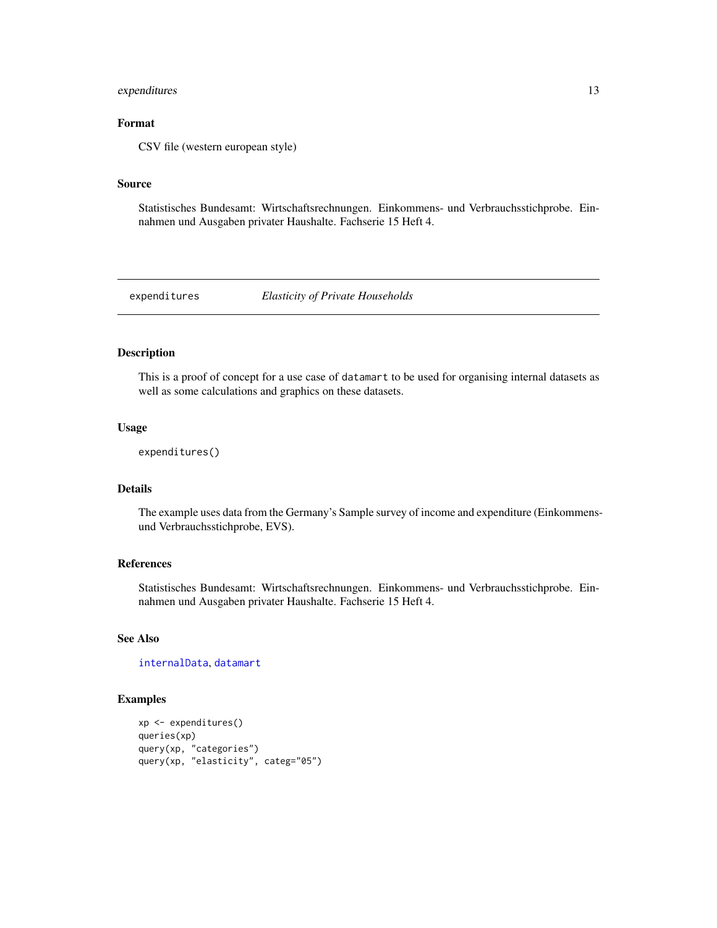# <span id="page-12-0"></span>expenditures 13

# Format

CSV file (western european style)

#### Source

Statistisches Bundesamt: Wirtschaftsrechnungen. Einkommens- und Verbrauchsstichprobe. Einnahmen und Ausgaben privater Haushalte. Fachserie 15 Heft 4.

expenditures *Elasticity of Private Households*

#### Description

This is a proof of concept for a use case of datamart to be used for organising internal datasets as well as some calculations and graphics on these datasets.

# Usage

```
expenditures()
```
# Details

The example uses data from the Germany's Sample survey of income and expenditure (Einkommensund Verbrauchsstichprobe, EVS).

#### References

Statistisches Bundesamt: Wirtschaftsrechnungen. Einkommens- und Verbrauchsstichprobe. Einnahmen und Ausgaben privater Haushalte. Fachserie 15 Heft 4.

# See Also

[internalData](#page-16-1), [datamart](#page-18-1)

#### Examples

```
xp <- expenditures()
queries(xp)
query(xp, "categories")
query(xp, "elasticity", categ="05")
```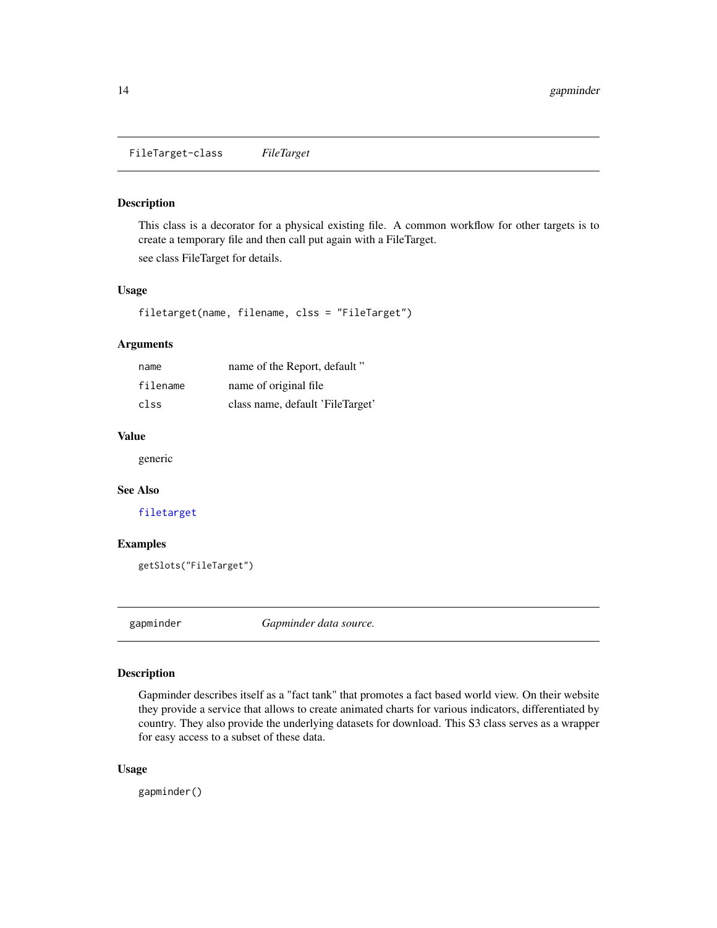<span id="page-13-0"></span>FileTarget-class *FileTarget*

#### <span id="page-13-1"></span>Description

This class is a decorator for a physical existing file. A common workflow for other targets is to create a temporary file and then call put again with a FileTarget. see class FileTarget for details.

#### Usage

filetarget(name, filename, clss = "FileTarget")

#### Arguments

| name     | name of the Report, default "    |
|----------|----------------------------------|
| filename | name of original file            |
| clss     | class name, default 'FileTarget' |

#### Value

generic

# See Also

[filetarget](#page-13-1)

#### Examples

getSlots("FileTarget")

gapminder *Gapminder data source.*

#### Description

Gapminder describes itself as a "fact tank" that promotes a fact based world view. On their website they provide a service that allows to create animated charts for various indicators, differentiated by country. They also provide the underlying datasets for download. This S3 class serves as a wrapper for easy access to a subset of these data.

#### Usage

gapminder()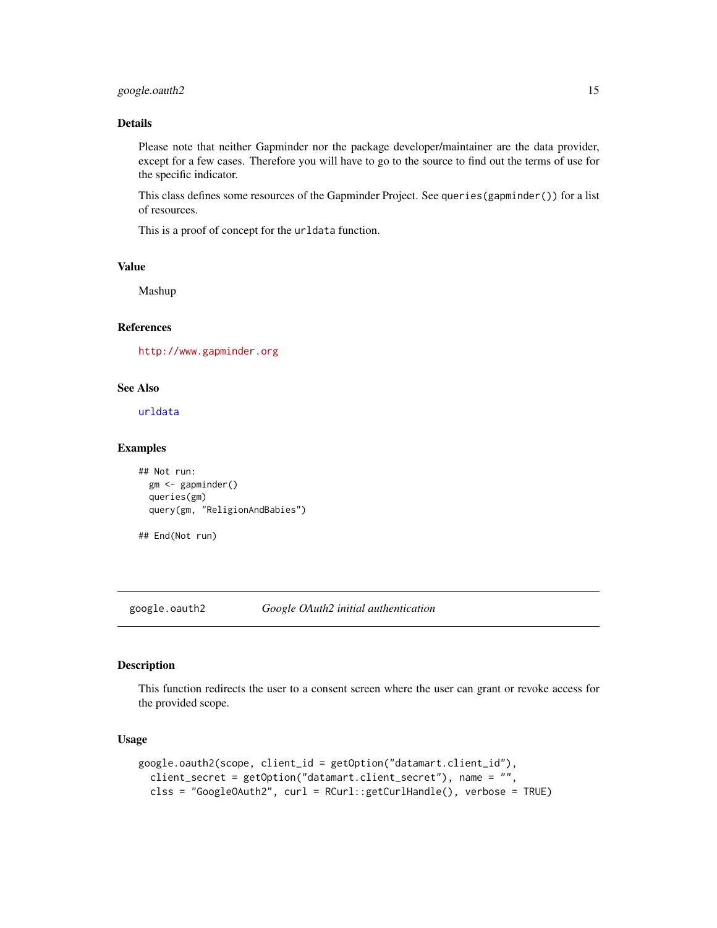# <span id="page-14-0"></span>google.oauth2 15

#### Details

Please note that neither Gapminder nor the package developer/maintainer are the data provider, except for a few cases. Therefore you will have to go to the source to find out the terms of use for the specific indicator.

This class defines some resources of the Gapminder Project. See queries(gapminder()) for a list of resources.

This is a proof of concept for the urldata function.

#### Value

Mashup

#### References

<http://www.gapminder.org>

#### See Also

[urldata](#page-41-1)

#### Examples

```
## Not run:
  gm <- gapminder()
  queries(gm)
  query(gm, "ReligionAndBabies")
```

```
## End(Not run)
```
<span id="page-14-1"></span>google.oauth2 *Google OAuth2 initial authentication*

#### Description

This function redirects the user to a consent screen where the user can grant or revoke access for the provided scope.

```
google.oauth2(scope, client_id = getOption("datamart.client_id"),
  client_secret = getOption("datamart.client_secret"), name = "",
  clss = "GoogleOAuth2", curl = RCurl::getCurlHandle(), verbose = TRUE)
```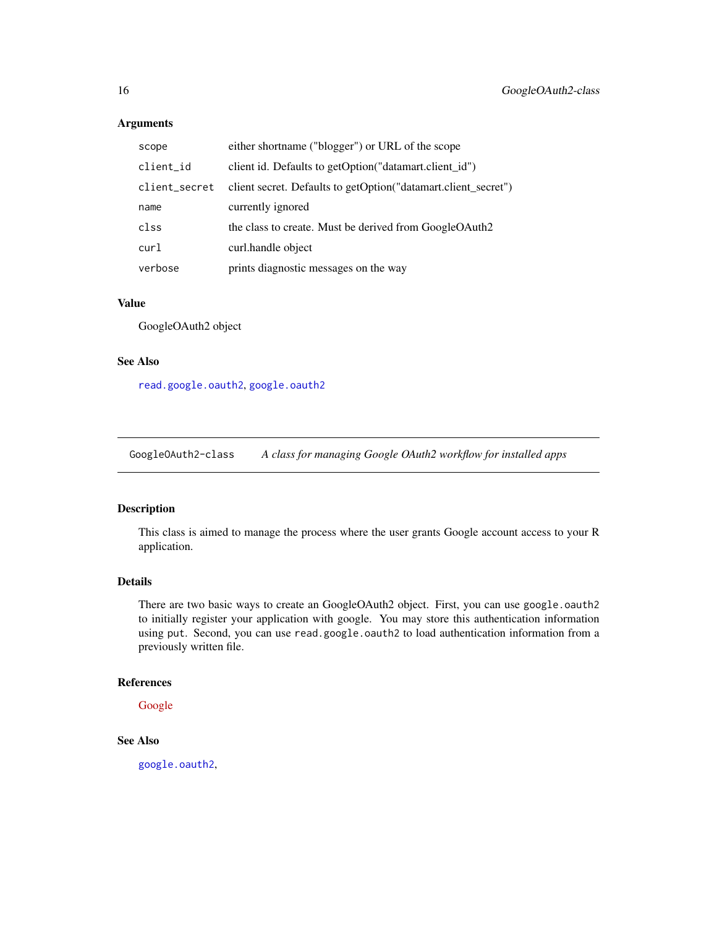# Arguments

| scope         | either shortname ("blogger") or URL of the scope               |
|---------------|----------------------------------------------------------------|
| client_id     | client id. Defaults to getOption("datamart.client_id")         |
| client_secret | client secret. Defaults to getOption("datamart.client_secret") |
| name          | currently ignored                                              |
| clss          | the class to create. Must be derived from GoogleOAuth2         |
| curl          | curl.handle object                                             |
| verbose       | prints diagnostic messages on the way                          |

#### Value

GoogleOAuth2 object

# See Also

[read.google.oauth2](#page-30-1), [google.oauth2](#page-14-1)

GoogleOAuth2-class *A class for managing Google OAuth2 workflow for installed apps*

# Description

This class is aimed to manage the process where the user grants Google account access to your R application.

#### Details

There are two basic ways to create an GoogleOAuth2 object. First, you can use google.oauth2 to initially register your application with google. You may store this authentication information using put. Second, you can use read.google.oauth2 to load authentication information from a previously written file.

# References

[Google](https://developers.google.com/accounts/docs/OAuth2InstalledApp?hl=de)

# See Also

[google.oauth2](#page-14-1),

<span id="page-15-0"></span>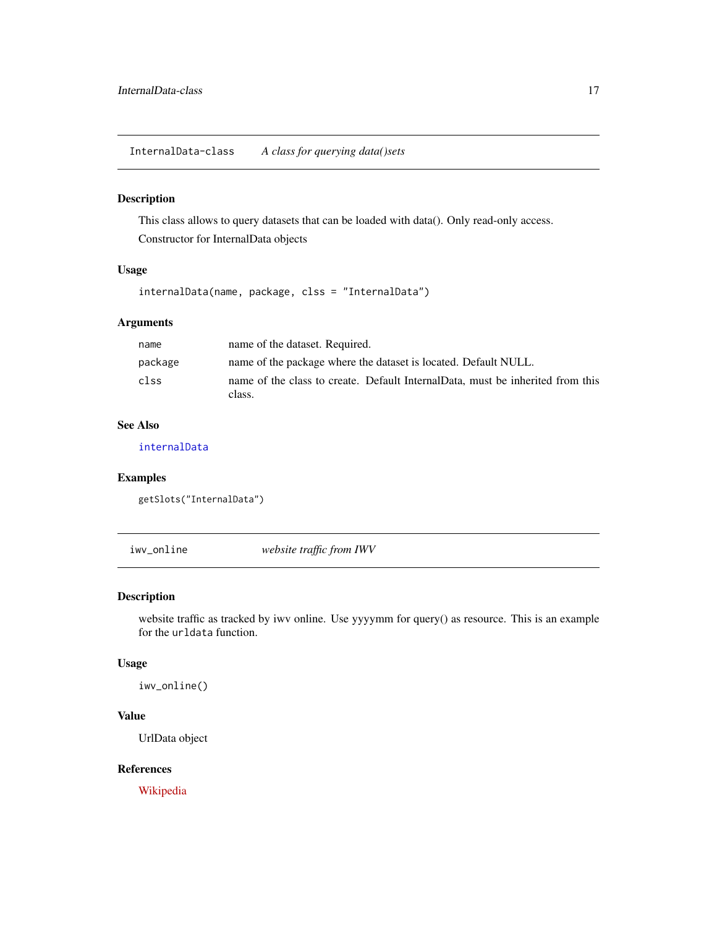<span id="page-16-0"></span>InternalData-class *A class for querying data()sets*

# <span id="page-16-1"></span>Description

This class allows to query datasets that can be loaded with data(). Only read-only access. Constructor for InternalData objects

# Usage

internalData(name, package, clss = "InternalData")

# Arguments

| name    | name of the dataset. Required.                                                           |
|---------|------------------------------------------------------------------------------------------|
| package | name of the package where the dataset is located. Default NULL.                          |
| clss    | name of the class to create. Default InternalData, must be inherited from this<br>class. |

# See Also

[internalData](#page-16-1)

# Examples

```
getSlots("InternalData")
```
iwv\_online *website traffic from IWV*

# Description

website traffic as tracked by iwv online. Use yyyymm for query() as resource. This is an example for the urldata function.

# Usage

iwv\_online()

# Value

UrlData object

# References

[Wikipedia](http://en.wikipedia.org/wiki/Informationsgemeinschaft_zur_Feststellung_der_Verbreitung_von_Werbetraegern)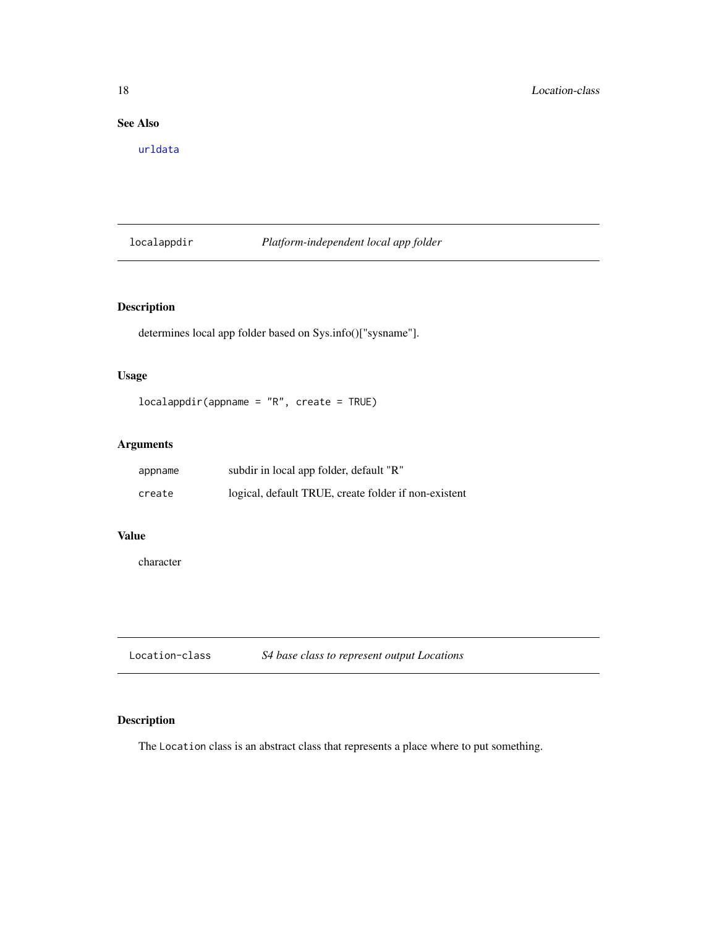# <span id="page-17-0"></span>See Also

[urldata](#page-41-1)

# localappdir *Platform-independent local app folder*

# Description

determines local app folder based on Sys.info()["sysname"].

# Usage

```
localappdir(appname = "R", create = TRUE)
```
# Arguments

| appname | subdir in local app folder, default "R"              |
|---------|------------------------------------------------------|
| create  | logical, default TRUE, create folder if non-existent |

# Value

character

| Location-class | S4 base class to represent output Locations |  |
|----------------|---------------------------------------------|--|
|----------------|---------------------------------------------|--|

# Description

The Location class is an abstract class that represents a place where to put something.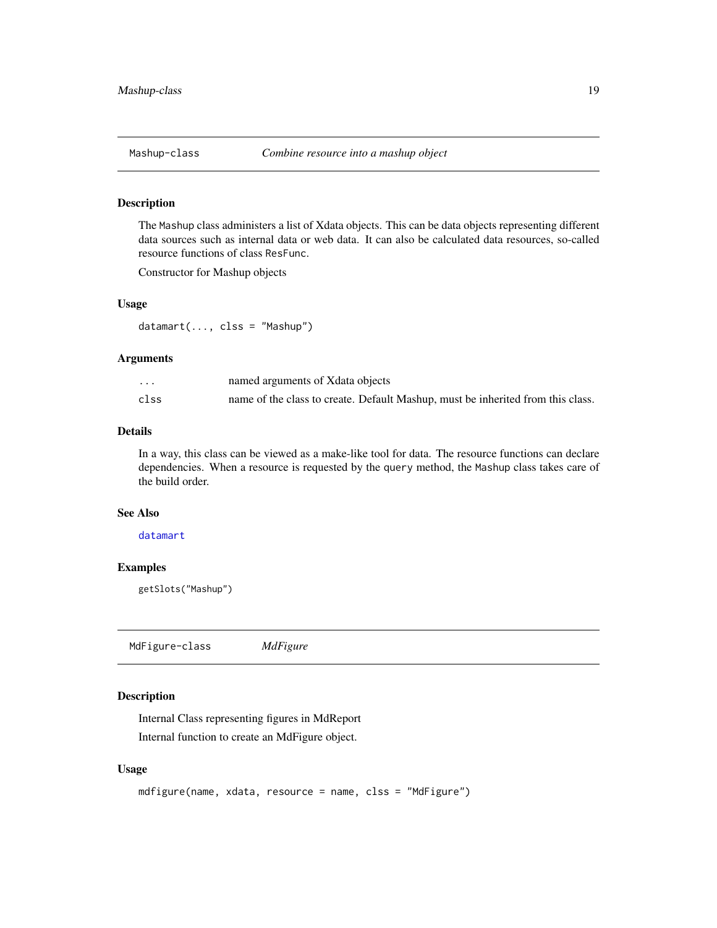<span id="page-18-1"></span><span id="page-18-0"></span>

The Mashup class administers a list of Xdata objects. This can be data objects representing different data sources such as internal data or web data. It can also be calculated data resources, so-called resource functions of class ResFunc.

Constructor for Mashup objects

#### Usage

datamart(..., clss = "Mashup")

#### Arguments

| $\cdots$ | named arguments of Xdata objects                                                |
|----------|---------------------------------------------------------------------------------|
| clss     | name of the class to create. Default Mashup, must be inherited from this class. |

# Details

In a way, this class can be viewed as a make-like tool for data. The resource functions can declare dependencies. When a resource is requested by the query method, the Mashup class takes care of the build order.

#### See Also

[datamart](#page-18-1)

# Examples

getSlots("Mashup")

MdFigure-class *MdFigure*

# <span id="page-18-2"></span>**Description**

Internal Class representing figures in MdReport Internal function to create an MdFigure object.

```
mdfigure(name, xdata, resource = name, clss = "MdFigure")
```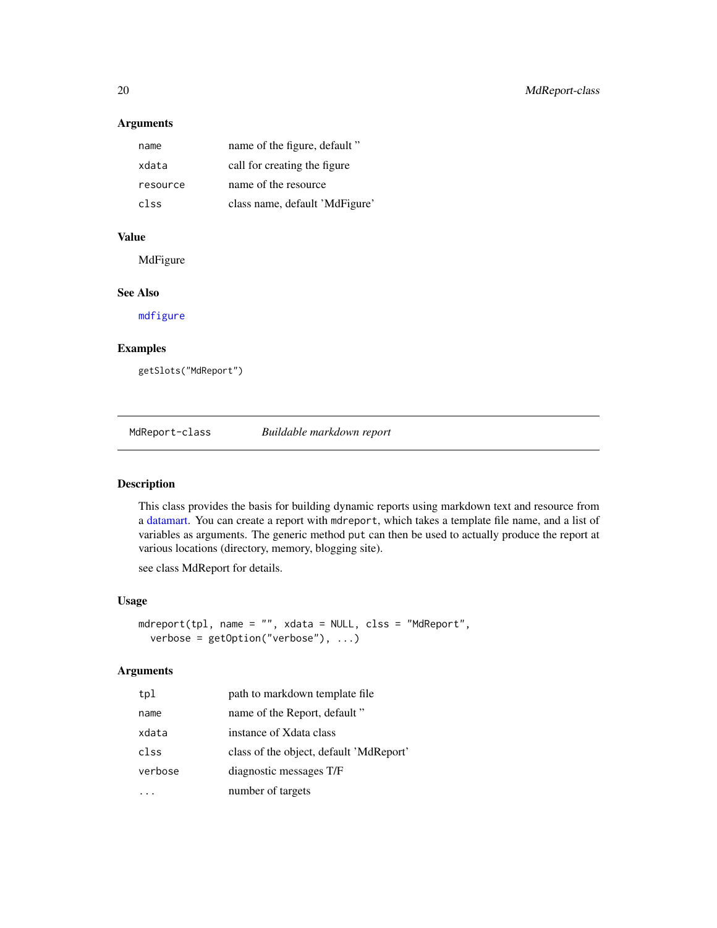# Arguments

| name     | name of the figure, default "  |
|----------|--------------------------------|
| xdata    | call for creating the figure   |
| resource | name of the resource           |
| clss     | class name, default 'MdFigure' |

#### Value

MdFigure

#### See Also

[mdfigure](#page-18-2)

# Examples

getSlots("MdReport")

MdReport-class *Buildable markdown report*

# <span id="page-19-1"></span>Description

This class provides the basis for building dynamic reports using markdown text and resource from a [datamart.](#page-18-1) You can create a report with mdreport, which takes a template file name, and a list of variables as arguments. The generic method put can then be used to actually produce the report at various locations (directory, memory, blogging site).

see class MdReport for details.

#### Usage

```
mdreport(tpl, name = "", xdata = NULL, clss = "MdReport",
  verbose = getOption("verbose"), ...)
```
#### Arguments

| tpl     | path to markdown template file          |
|---------|-----------------------------------------|
| name    | name of the Report, default"            |
| xdata   | instance of Xdata class                 |
| clss    | class of the object, default 'MdReport' |
| verbose | diagnostic messages T/F                 |
|         | number of targets                       |

<span id="page-19-0"></span>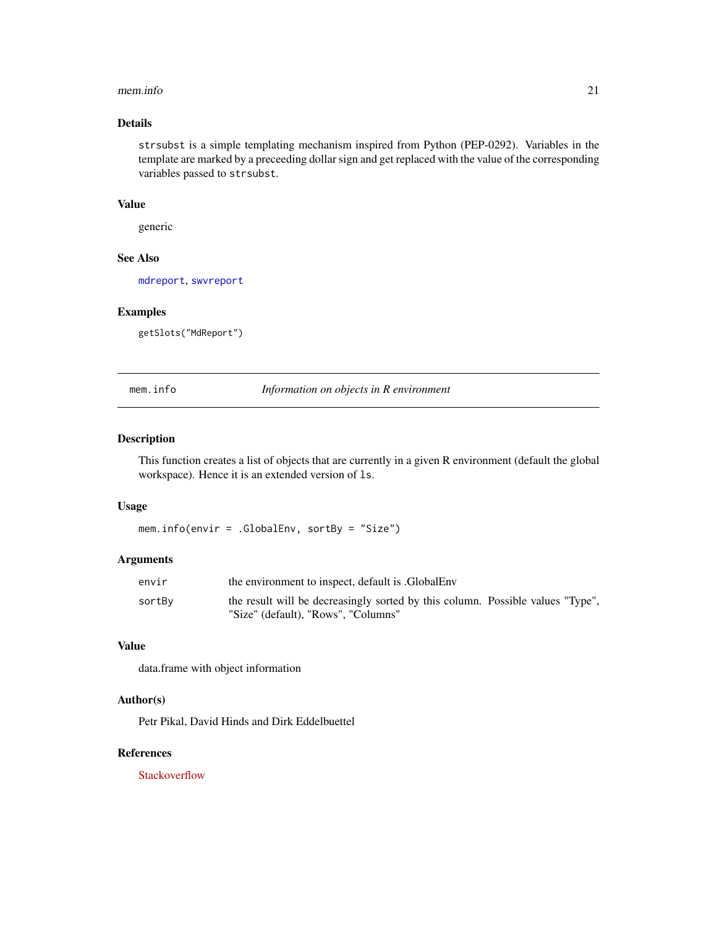#### <span id="page-20-0"></span>mem.info 21

# Details

strsubst is a simple templating mechanism inspired from Python (PEP-0292). Variables in the template are marked by a preceeding dollar sign and get replaced with the value of the corresponding variables passed to strsubst.

#### Value

generic

# See Also

[mdreport](#page-19-1), [swvreport](#page-39-1)

#### Examples

getSlots("MdReport")

mem.info *Information on objects in R environment*

#### Description

This function creates a list of objects that are currently in a given R environment (default the global workspace). Hence it is an extended version of ls.

#### Usage

mem.info(envir = .GlobalEnv, sortBy = "Size")

#### Arguments

| envir  | the environment to inspect, default is .GlobalEnv                              |
|--------|--------------------------------------------------------------------------------|
| sortBy | the result will be decreasingly sorted by this column. Possible values "Type", |
|        | "Size" (default), "Rows", "Columns"                                            |

#### Value

data.frame with object information

# Author(s)

Petr Pikal, David Hinds and Dirk Eddelbuettel

#### References

**[Stackoverflow](http://stackoverflow.com/questions/1358003/tricks-to-manage-the-available-memory-in-an-r-session)**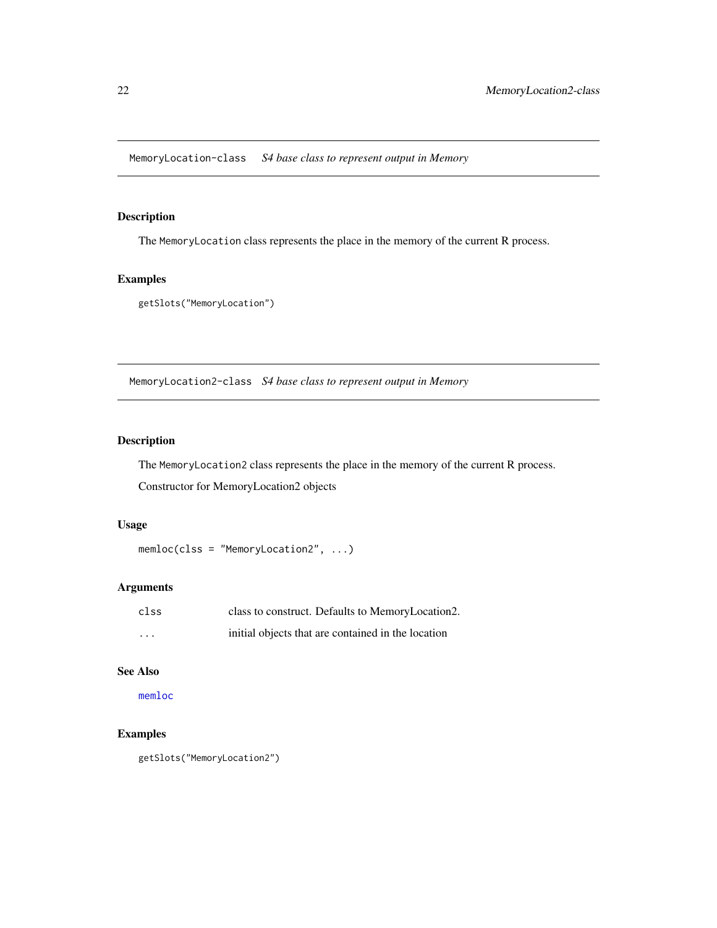<span id="page-21-0"></span>MemoryLocation-class *S4 base class to represent output in Memory*

# Description

The MemoryLocation class represents the place in the memory of the current R process.

#### Examples

```
getSlots("MemoryLocation")
```
MemoryLocation2-class *S4 base class to represent output in Memory*

# <span id="page-21-1"></span>Description

The MemoryLocation2 class represents the place in the memory of the current R process.

Constructor for MemoryLocation2 objects

# Usage

```
memloc(clss = "MemoryLocation2", ...)
```
# Arguments

| clss     | class to construct. Defaults to MemoryLocation2.   |
|----------|----------------------------------------------------|
| $\cdots$ | initial objects that are contained in the location |

# See Also

[memloc](#page-21-1)

# Examples

getSlots("MemoryLocation2")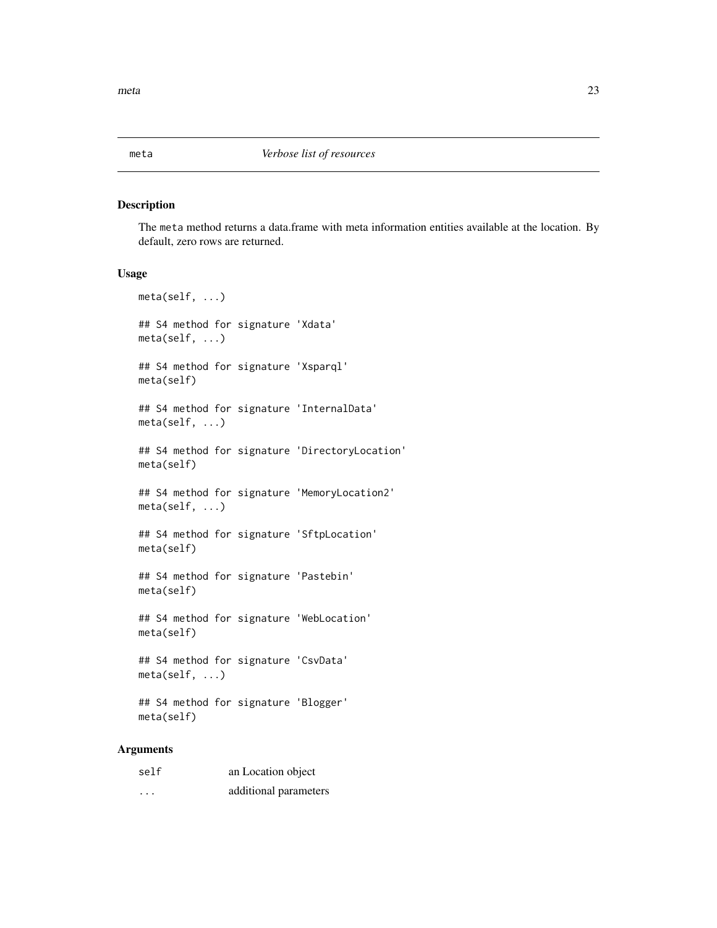<span id="page-22-0"></span>

The meta method returns a data.frame with meta information entities available at the location. By default, zero rows are returned.

#### Usage

meta(self, ...) ## S4 method for signature 'Xdata' meta(self, ...) ## S4 method for signature 'Xsparql' meta(self) ## S4 method for signature 'InternalData' meta(self, ...) ## S4 method for signature 'DirectoryLocation' meta(self) ## S4 method for signature 'MemoryLocation2' meta(self, ...) ## S4 method for signature 'SftpLocation' meta(self) ## S4 method for signature 'Pastebin' meta(self) ## S4 method for signature 'WebLocation' meta(self) ## S4 method for signature 'CsvData' meta(self, ...) ## S4 method for signature 'Blogger' meta(self)

# Arguments

| self                    | an Location object    |
|-------------------------|-----------------------|
| $\cdot$ $\cdot$ $\cdot$ | additional parameters |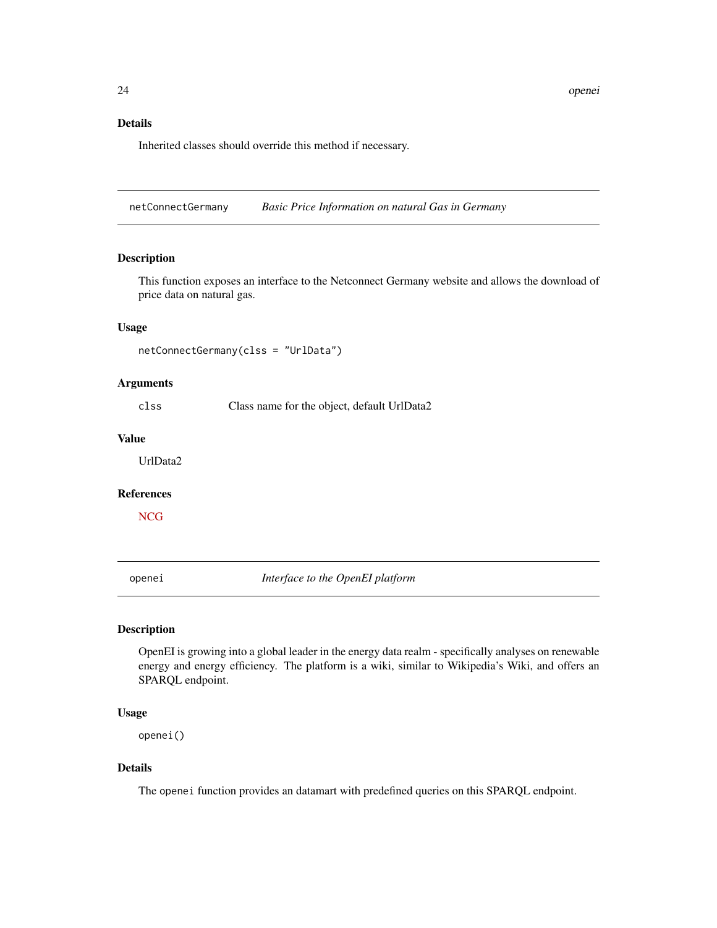#### <span id="page-23-0"></span>Details

Inherited classes should override this method if necessary.

netConnectGermany *Basic Price Information on natural Gas in Germany*

#### Description

This function exposes an interface to the Netconnect Germany website and allows the download of price data on natural gas.

#### Usage

netConnectGermany(clss = "UrlData")

#### Arguments

clss Class name for the object, default UrlData2

#### Value

UrlData2

#### References

**[NCG](http://datenservice.net-connect-germany.de/Dokumente/NCG_XML_Interface_V1.6_de.pdf)** 

<span id="page-23-1"></span>openei *Interface to the OpenEI platform*

# Description

OpenEI is growing into a global leader in the energy data realm - specifically analyses on renewable energy and energy efficiency. The platform is a wiki, similar to Wikipedia's Wiki, and offers an SPARQL endpoint.

#### Usage

openei()

# Details

The openei function provides an datamart with predefined queries on this SPARQL endpoint.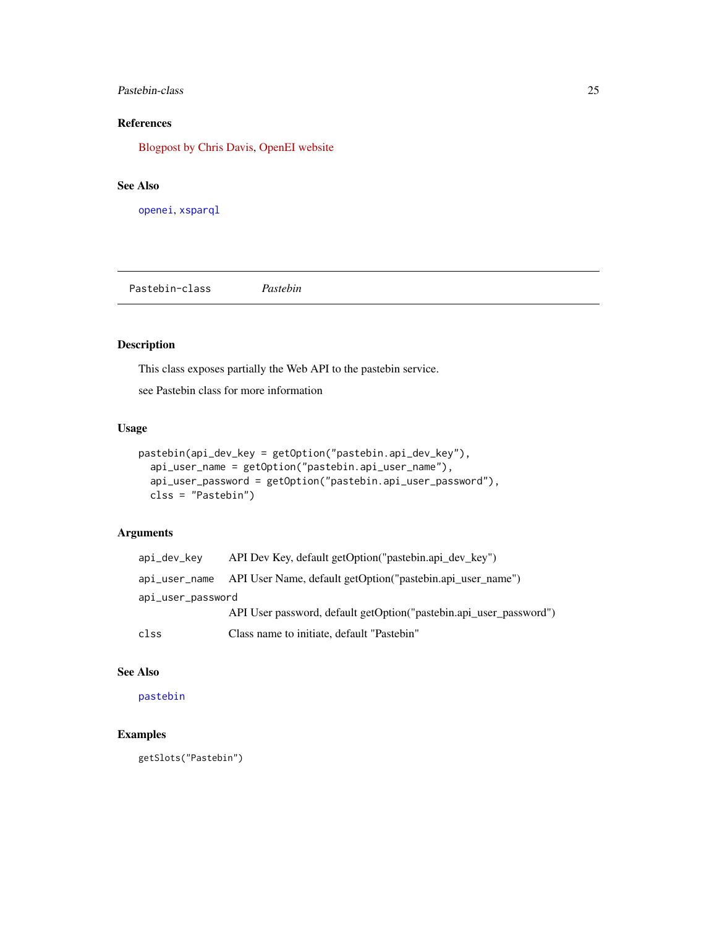#### <span id="page-24-0"></span>Pastebin-class 25

# References

[Blogpost by Chris Davis,](http://chrisdavis.weblog.tudelft.nl/2010/06/12/data-mining-the-us-department-of-energy/) [OpenEI website](http://en.openei.org/wiki/OpenEI:About)

#### See Also

[openei](#page-23-1), [xsparql](#page-43-1)

Pastebin-class *Pastebin*

# <span id="page-24-1"></span>Description

This class exposes partially the Web API to the pastebin service.

see Pastebin class for more information

# Usage

```
pastebin(api_dev_key = getOption("pastebin.api_dev_key"),
  api_user_name = getOption("pastebin.api_user_name"),
  api_user_password = getOption("pastebin.api_user_password"),
 clss = "Pastebin")
```
# Arguments

| api_dev_kev       | API Dev Key, default getOption ("pastebin.api dev key")                  |
|-------------------|--------------------------------------------------------------------------|
|                   | api_user_name API User Name, default getOption("pastebin.api user name") |
| api_user_password |                                                                          |
|                   | API User password, default getOption ("pastebin.api_user_password")      |
| clss              | Class name to initiate, default "Pastebin"                               |

#### See Also

[pastebin](#page-24-1)

# Examples

getSlots("Pastebin")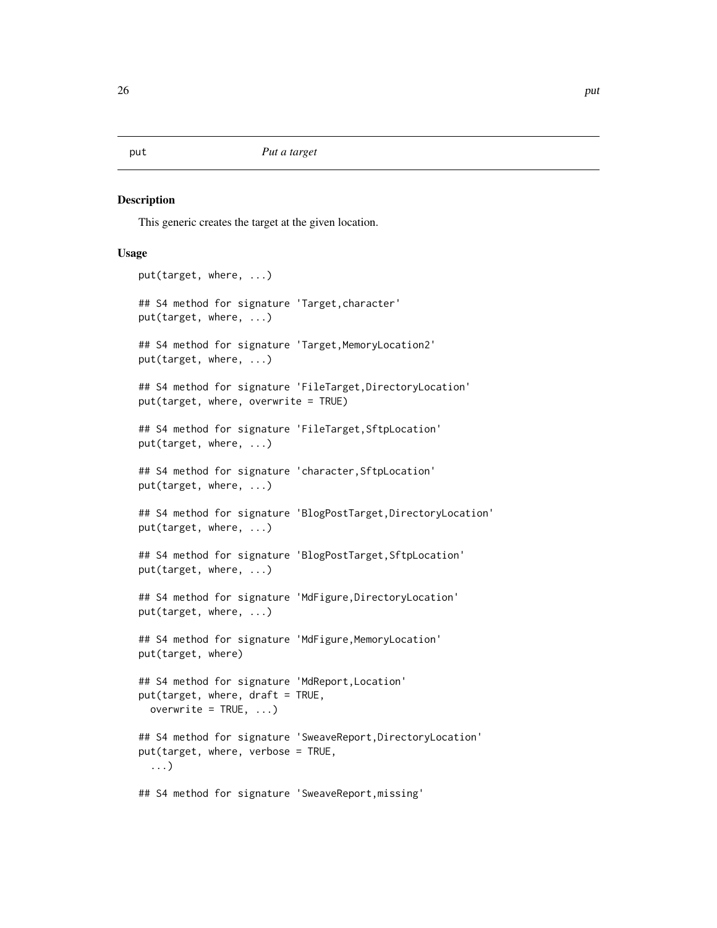<span id="page-25-0"></span>This generic creates the target at the given location.

```
put(target, where, ...)
## S4 method for signature 'Target,character'
put(target, where, ...)
## S4 method for signature 'Target, MemoryLocation2'
put(target, where, ...)
## S4 method for signature 'FileTarget,DirectoryLocation'
put(target, where, overwrite = TRUE)
## S4 method for signature 'FileTarget,SftpLocation'
put(target, where, ...)
## S4 method for signature 'character,SftpLocation'
put(target, where, ...)
## S4 method for signature 'BlogPostTarget,DirectoryLocation'
put(target, where, ...)
## S4 method for signature 'BlogPostTarget, SftpLocation'
put(target, where, ...)
## S4 method for signature 'MdFigure, DirectoryLocation'
put(target, where, ...)
## S4 method for signature 'MdFigure, MemoryLocation'
put(target, where)
## S4 method for signature 'MdReport,Location'
put(target, where, draft = TRUE,
  overwrite = TRUE, \ldots)## S4 method for signature 'SweaveReport, DirectoryLocation'
put(target, where, verbose = TRUE,
  ...)
## S4 method for signature 'SweaveReport,missing'
```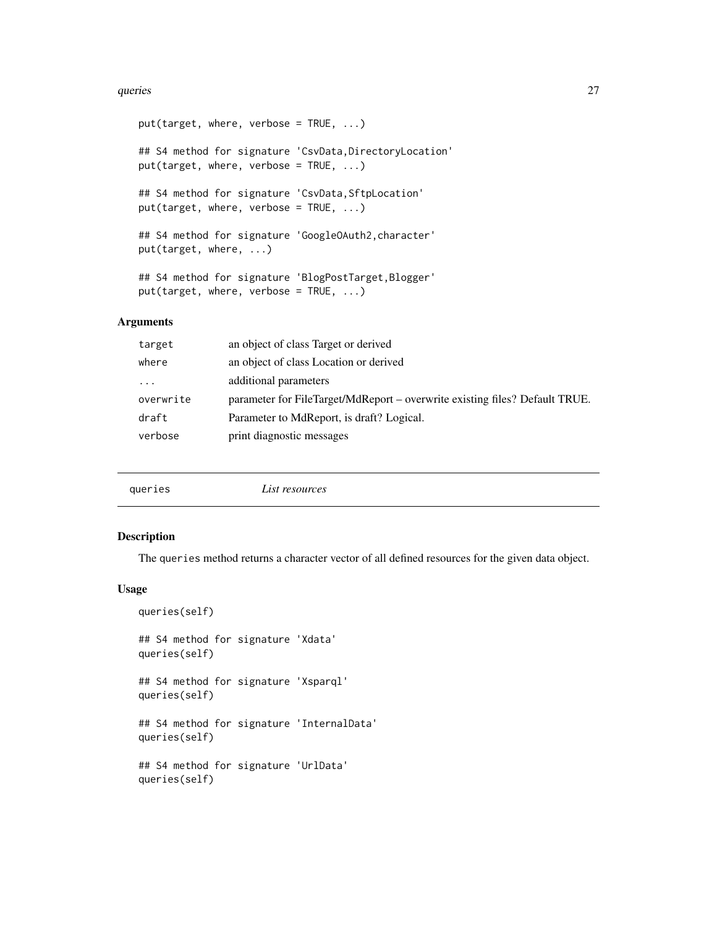#### <span id="page-26-0"></span>queries 27

 $put(target, where, verbose = TRUE, ...)$ ## S4 method for signature 'CsvData, DirectoryLocation' put(target, where, verbose = TRUE, ...) ## S4 method for signature 'CsvData, SftpLocation' put(target, where, verbose = TRUE, ...) ## S4 method for signature 'GoogleOAuth2,character' put(target, where, ...) ## S4 method for signature 'BlogPostTarget, Blogger' put(target, where, verbose = TRUE, ...)

# Arguments

| target    | an object of class Target or derived                                        |
|-----------|-----------------------------------------------------------------------------|
| where     | an object of class Location or derived                                      |
| $\cdots$  | additional parameters                                                       |
| overwrite | parameter for FileTarget/MdReport – overwrite existing files? Default TRUE. |
| draft     | Parameter to MdReport, is draft? Logical.                                   |
| verbose   | print diagnostic messages                                                   |
|           |                                                                             |

|--|

# Description

The queries method returns a character vector of all defined resources for the given data object.

```
queries(self)
## S4 method for signature 'Xdata'
queries(self)
## S4 method for signature 'Xsparql'
queries(self)
## S4 method for signature 'InternalData'
queries(self)
## S4 method for signature 'UrlData'
queries(self)
```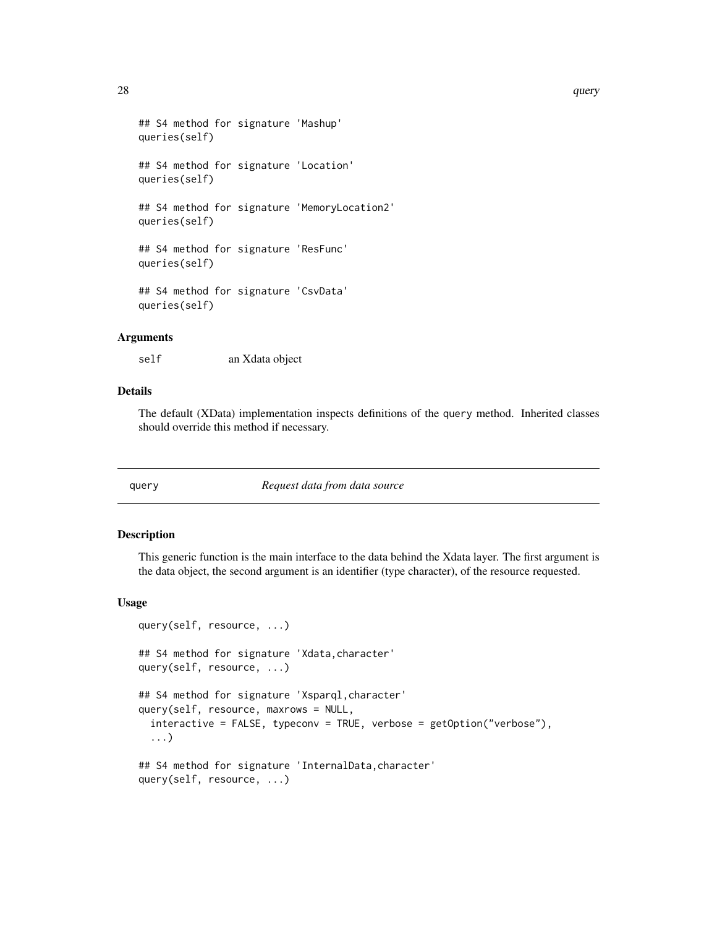```
## S4 method for signature 'Mashup'
queries(self)
## S4 method for signature 'Location'
queries(self)
## S4 method for signature 'MemoryLocation2'
queries(self)
## S4 method for signature 'ResFunc'
queries(self)
## S4 method for signature 'CsvData'
queries(self)
```
#### Arguments

self an Xdata object

# Details

The default (XData) implementation inspects definitions of the query method. Inherited classes should override this method if necessary.

query *Request data from data source*

#### Description

This generic function is the main interface to the data behind the Xdata layer. The first argument is the data object, the second argument is an identifier (type character), of the resource requested.

```
query(self, resource, ...)
## S4 method for signature 'Xdata,character'
query(self, resource, ...)
## S4 method for signature 'Xsparql,character'
query(self, resource, maxrows = NULL,
  interactive = FALSE, typeconv = TRUE, verbose = getOption("verbose"),
  ...)
## S4 method for signature 'InternalData, character'
query(self, resource, ...)
```
<span id="page-27-0"></span>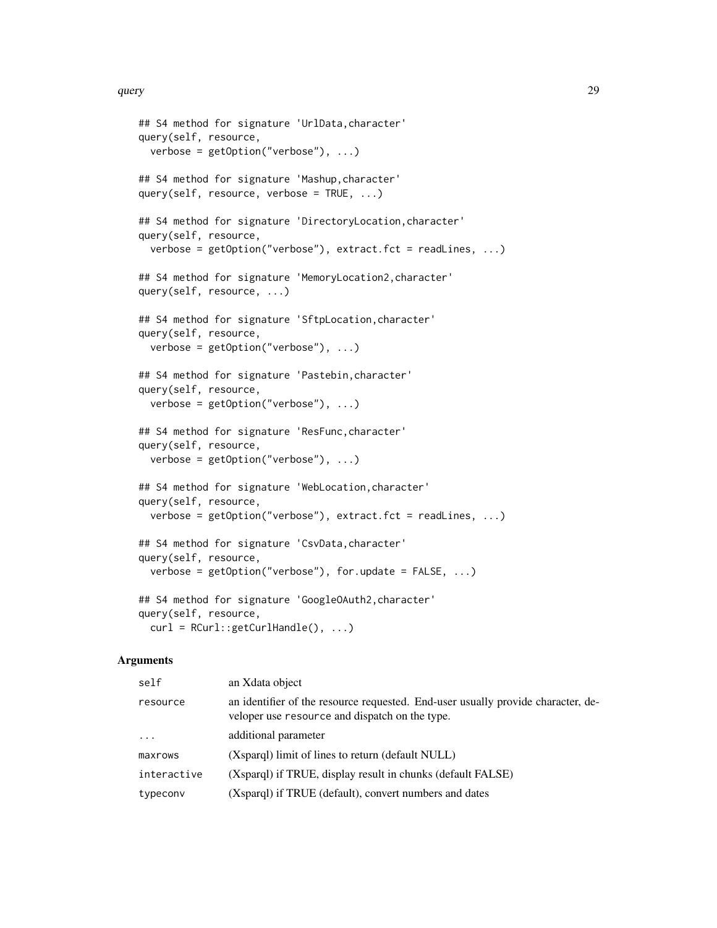```
## S4 method for signature 'UrlData,character'
query(self, resource,
 verbose = getOption("verbose"), ...)
## S4 method for signature 'Mashup,character'
query(self, resource, verbose = TRUE, ...)
## S4 method for signature 'DirectoryLocation, character'
query(self, resource,
 verbose = getOption("verbose"), extract.fct = readLines, ...)
## S4 method for signature 'MemoryLocation2,character'
query(self, resource, ...)
## S4 method for signature 'SftpLocation,character'
query(self, resource,
 verbose = getOption("verbose"), ...)
## S4 method for signature 'Pastebin,character'
query(self, resource,
 verbose = getOption("verbose"), ...)## S4 method for signature 'ResFunc,character'
query(self, resource,
 verbose = getOption("verbose"), ...)
## S4 method for signature 'WebLocation,character'
query(self, resource,
 verbose = getOption("verbose"), extract.fct = readLines, ...)
## S4 method for signature 'CsvData,character'
query(self, resource,
 verbose = getOption("verbose"), for.update = FALSE, ...)
## S4 method for signature 'GoogleOAuth2,character'
query(self, resource,
 curl = RCurl::getCurlHandle(), ...)
```
#### Arguments

| self        | an Xdata object                                                                                                                    |
|-------------|------------------------------------------------------------------------------------------------------------------------------------|
| resource    | an identifier of the resource requested. End-user usually provide character, de-<br>veloper use resource and dispatch on the type. |
| $\ddots$    | additional parameter                                                                                                               |
| maxrows     | (Xsparg) limit of lines to return (default NULL)                                                                                   |
| interactive | (Xsparql) if TRUE, display result in chunks (default FALSE)                                                                        |
| typeconv    | (Xsparql) if TRUE (default), convert numbers and dates                                                                             |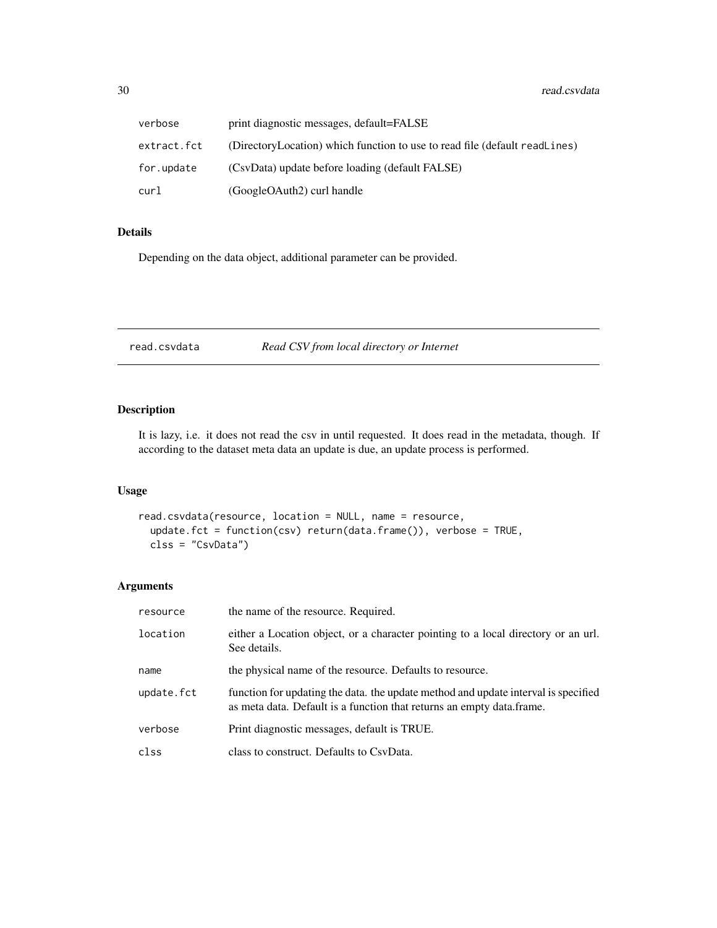<span id="page-29-0"></span>

| verbose     | print diagnostic messages, default=FALSE                                   |
|-------------|----------------------------------------------------------------------------|
| extract.fct | (DirectoryLocation) which function to use to read file (default readLines) |
| for.update  | (CsvData) update before loading (default FALSE)                            |
| curl        | (GoogleOAuth2) curl handle                                                 |

# Details

Depending on the data object, additional parameter can be provided.

<span id="page-29-1"></span>read.csvdata *Read CSV from local directory or Internet*

# Description

It is lazy, i.e. it does not read the csv in until requested. It does read in the metadata, though. If according to the dataset meta data an update is due, an update process is performed.

#### Usage

```
read.csvdata(resource, location = NULL, name = resource,
 update.fct = function(csv) return(data.frame()), verbose = TRUE,
 clss = "CsvData")
```
# Arguments

| resource   | the name of the resource. Required.                                                                                                                          |
|------------|--------------------------------------------------------------------------------------------------------------------------------------------------------------|
| location   | either a Location object, or a character pointing to a local directory or an url.<br>See details.                                                            |
| name       | the physical name of the resource. Defaults to resource.                                                                                                     |
| update.fct | function for updating the data, the update method and update interval is specified<br>as meta data. Default is a function that returns an empty data. frame. |
| verbose    | Print diagnostic messages, default is TRUE.                                                                                                                  |
| clss       | class to construct. Defaults to CsyData.                                                                                                                     |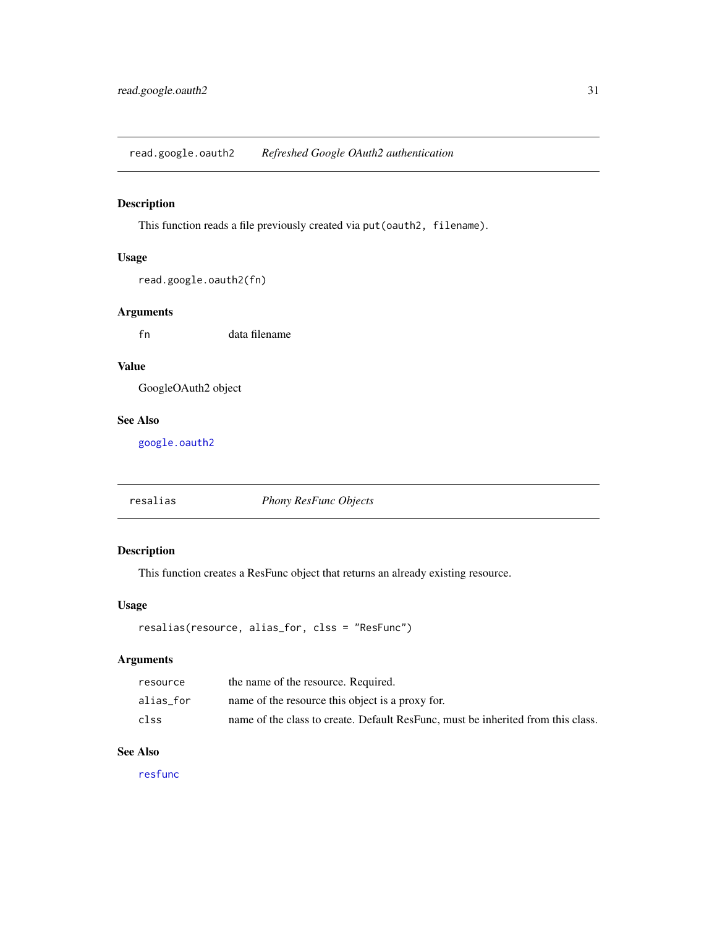<span id="page-30-1"></span><span id="page-30-0"></span>read.google.oauth2 *Refreshed Google OAuth2 authentication*

# Description

This function reads a file previously created via put (oauth2, filename).

# Usage

```
read.google.oauth2(fn)
```
#### Arguments

fn data filename

#### Value

GoogleOAuth2 object

# See Also

[google.oauth2](#page-14-1)

<span id="page-30-2"></span>resalias *Phony ResFunc Objects*

# Description

This function creates a ResFunc object that returns an already existing resource.

#### Usage

```
resalias(resource, alias_for, clss = "ResFunc")
```
#### Arguments

| resource  | the name of the resource. Required.                                              |
|-----------|----------------------------------------------------------------------------------|
| alias for | name of the resource this object is a proxy for.                                 |
| clss      | name of the class to create. Default ResFunc, must be inherited from this class. |

# See Also

[resfunc](#page-31-1)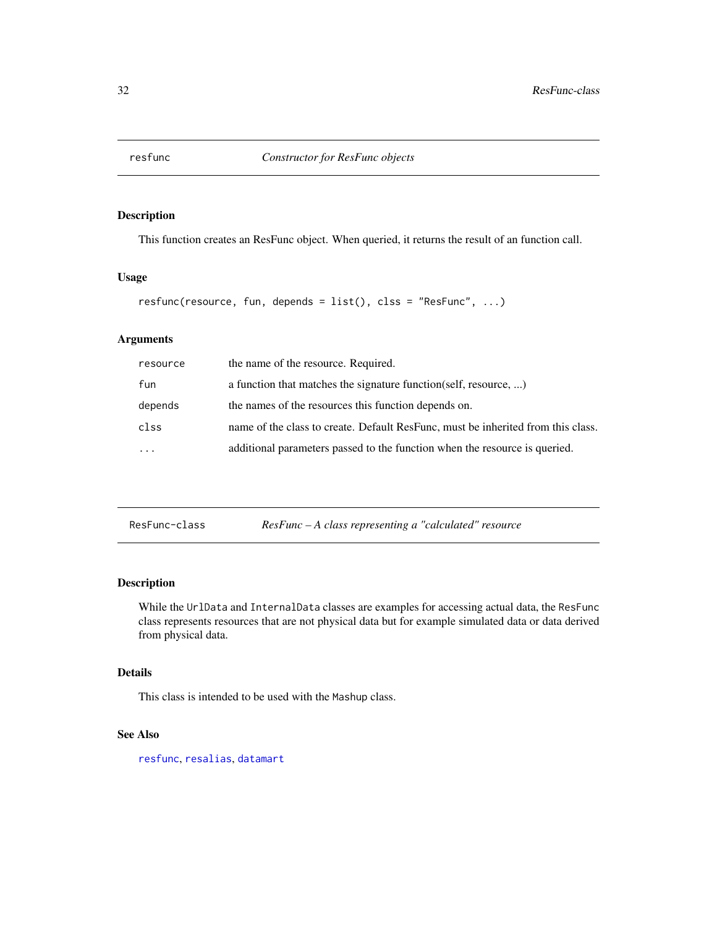<span id="page-31-1"></span><span id="page-31-0"></span>

This function creates an ResFunc object. When queried, it returns the result of an function call.

#### Usage

```
resfunc(resource, fun, depends = list(), clss = "ResFunc", ...)
```
# Arguments

| resource | the name of the resource. Required.                                              |
|----------|----------------------------------------------------------------------------------|
| fun      | a function that matches the signature function (self, resource, )                |
| depends  | the names of the resources this function depends on.                             |
| clss     | name of the class to create. Default ResFunc, must be inherited from this class. |
| $\cdot$  | additional parameters passed to the function when the resource is queried.       |
|          |                                                                                  |

| ResFunc-class |  |  | $ResFunc - A class representing a "calculated" resource$ |
|---------------|--|--|----------------------------------------------------------|
|---------------|--|--|----------------------------------------------------------|

# Description

While the UrlData and InternalData classes are examples for accessing actual data, the ResFunc class represents resources that are not physical data but for example simulated data or data derived from physical data.

# Details

This class is intended to be used with the Mashup class.

# See Also

[resfunc](#page-31-1), [resalias](#page-30-2), [datamart](#page-18-1)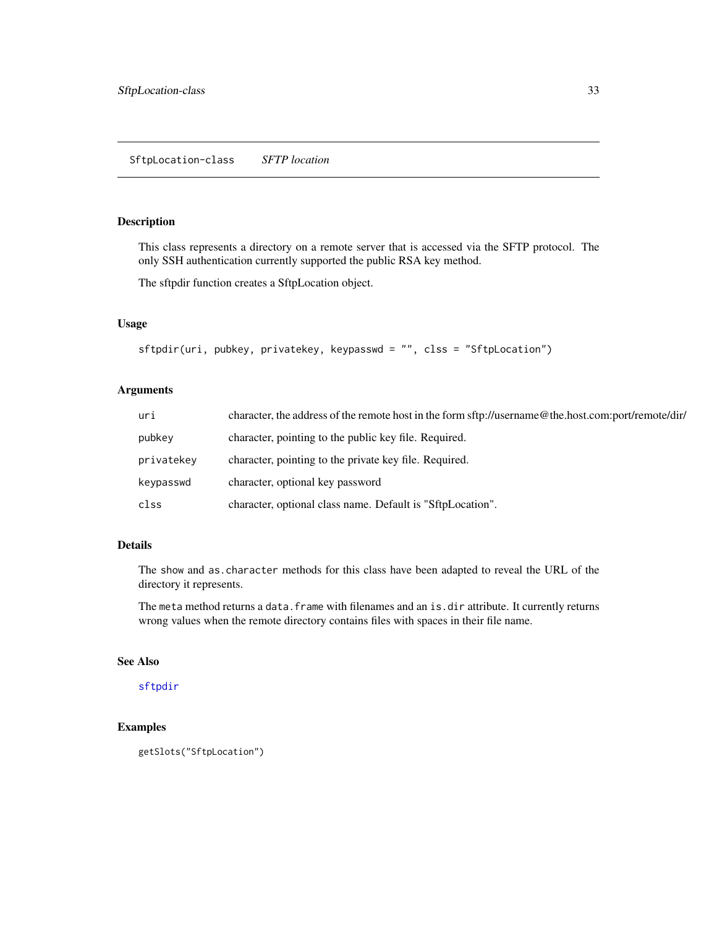<span id="page-32-1"></span><span id="page-32-0"></span>This class represents a directory on a remote server that is accessed via the SFTP protocol. The only SSH authentication currently supported the public RSA key method.

The sftpdir function creates a SftpLocation object.

#### Usage

```
sftpdir(uri, pubkey, privatekey, keypasswd = "", clss = "SftpLocation")
```
#### Arguments

| uri        | character, the address of the remote host in the form sftp://username@the.host.com:port/remote/dir/ |
|------------|-----------------------------------------------------------------------------------------------------|
| pubkey     | character, pointing to the public key file. Required.                                               |
| privatekey | character, pointing to the private key file. Required.                                              |
| keypasswd  | character, optional key password                                                                    |
| clss       | character, optional class name. Default is "SftpLocation".                                          |

# Details

The show and as.character methods for this class have been adapted to reveal the URL of the directory it represents.

The meta method returns a data.frame with filenames and an is.dir attribute. It currently returns wrong values when the remote directory contains files with spaces in their file name.

#### See Also

# [sftpdir](#page-32-1)

# Examples

```
getSlots("SftpLocation")
```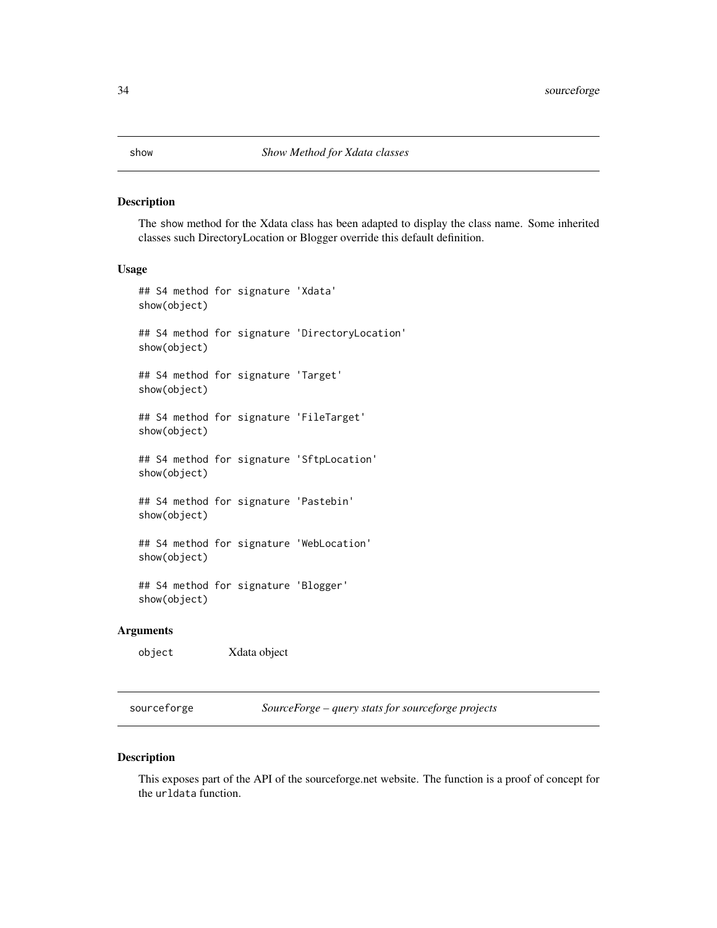<span id="page-33-0"></span>The show method for the Xdata class has been adapted to display the class name. Some inherited classes such DirectoryLocation or Blogger override this default definition.

#### Usage

```
## S4 method for signature 'Xdata'
show(object)
## S4 method for signature 'DirectoryLocation'
show(object)
## S4 method for signature 'Target'
show(object)
## S4 method for signature 'FileTarget'
show(object)
## S4 method for signature 'SftpLocation'
show(object)
## S4 method for signature 'Pastebin'
show(object)
## S4 method for signature 'WebLocation'
show(object)
## S4 method for signature 'Blogger'
show(object)
```
# Arguments

object Xdata object

sourceforge *SourceForge – query stats for sourceforge projects*

#### Description

This exposes part of the API of the sourceforge.net website. The function is a proof of concept for the urldata function.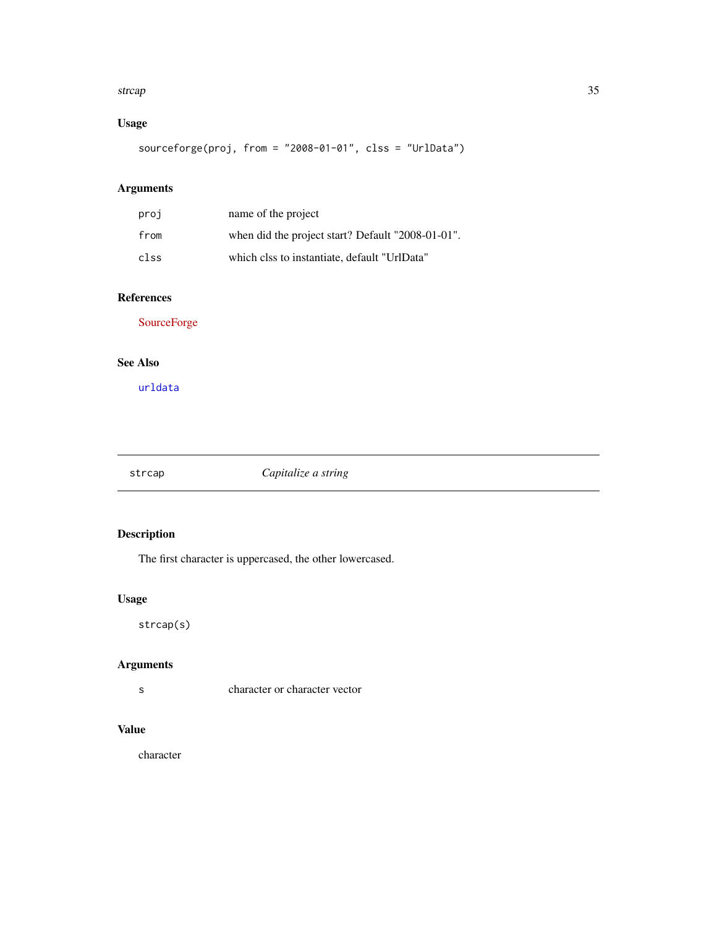#### <span id="page-34-0"></span>strcap 35

# Usage

sourceforge(proj, from = "2008-01-01", clss = "UrlData")

# Arguments

| proj | name of the project                               |
|------|---------------------------------------------------|
| from | when did the project start? Default "2008-01-01". |
| clss | which clss to instantiate, default "UrlData"      |

# References

[SourceForge](http://sourceforge.net/p/forge/documentation/)

# See Also

[urldata](#page-41-1)

strcap *Capitalize a string*

# Description

The first character is uppercased, the other lowercased.

# Usage

strcap(s)

# Arguments

s character or character vector

# Value

character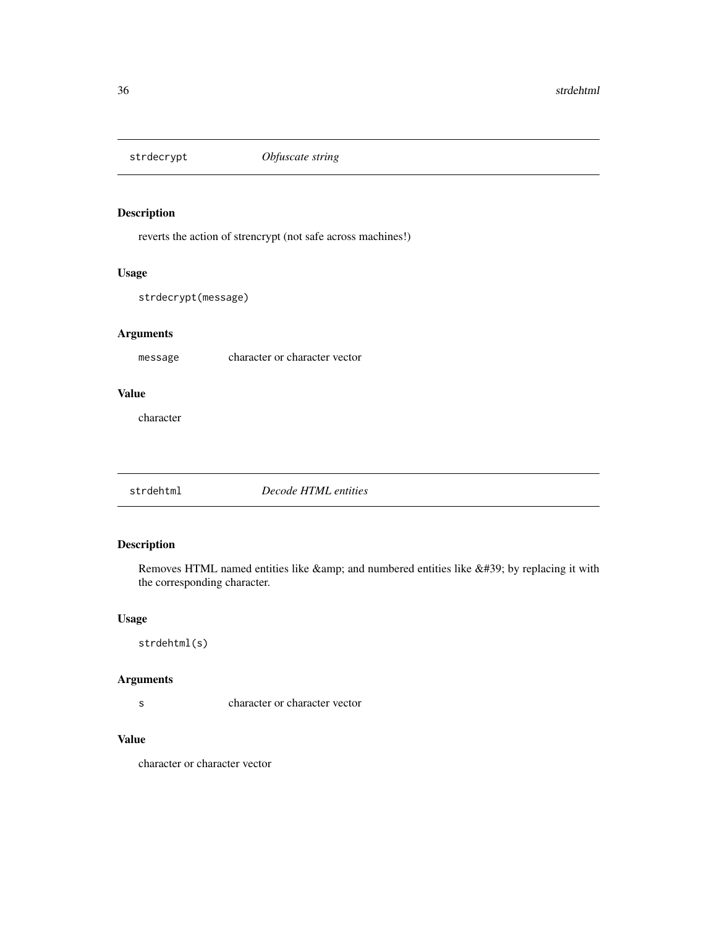<span id="page-35-0"></span>

reverts the action of strencrypt (not safe across machines!)

#### Usage

strdecrypt(message)

# Arguments

message character or character vector

# Value

character

strdehtml *Decode HTML entities*

# Description

Removes HTML named entities like  $&$ amp; and numbered entities like  $&$ #39; by replacing it with the corresponding character.

#### Usage

strdehtml(s)

#### Arguments

s character or character vector

# Value

character or character vector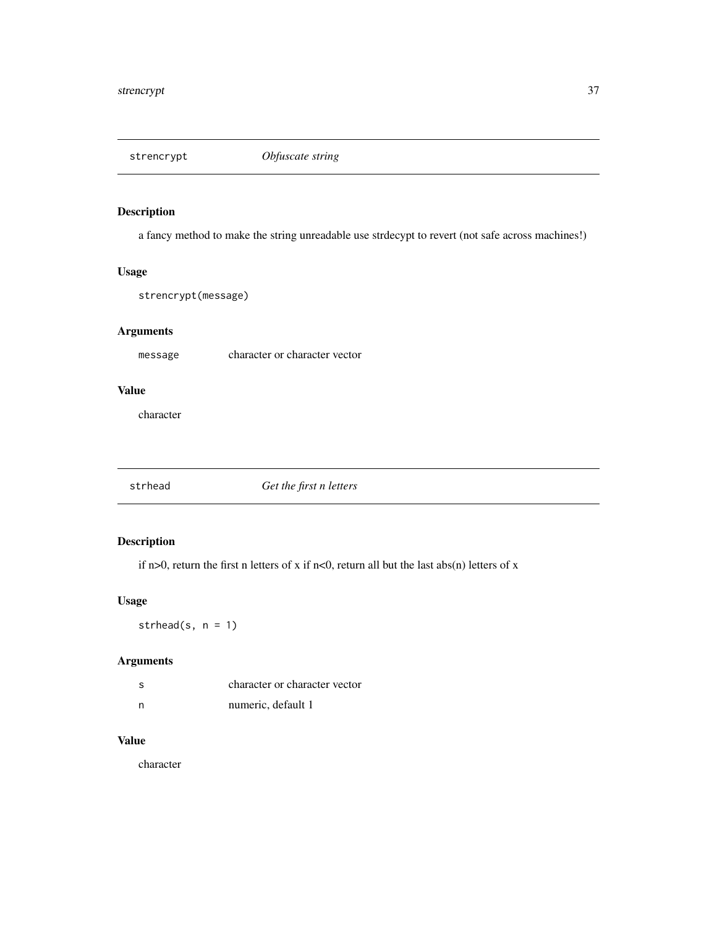<span id="page-36-0"></span>

a fancy method to make the string unreadable use strdecypt to revert (not safe across machines!)

# Usage

strencrypt(message)

# Arguments

message character or character vector

# Value

character

strhead *Get the first n letters*

# Description

if n>0, return the first n letters of x if n<0, return all but the last abs(n) letters of x

#### Usage

strhead(s,  $n = 1$ )

# Arguments

| - S | character or character vector |
|-----|-------------------------------|
| - n | numeric, default 1            |

# Value

character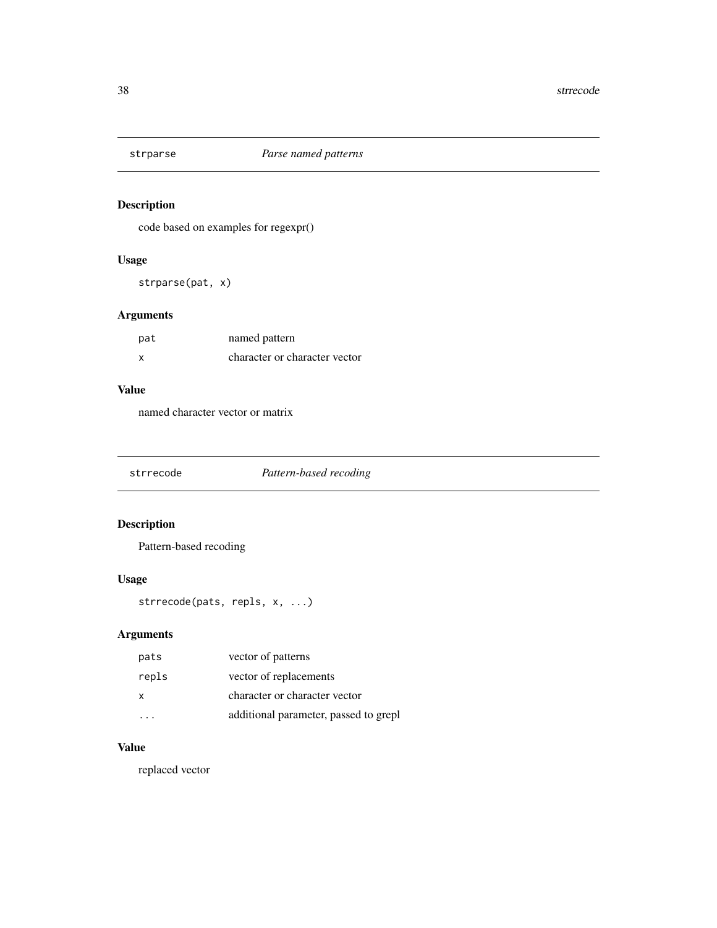<span id="page-37-0"></span>

code based on examples for regexpr()

# Usage

strparse(pat, x)

# Arguments

| pat | named pattern                 |
|-----|-------------------------------|
| X   | character or character vector |

#### Value

named character vector or matrix

# Description

Pattern-based recoding

# Usage

```
strrecode(pats, repls, x, ...)
```
# Arguments

| pats  | vector of patterns                    |
|-------|---------------------------------------|
| repls | vector of replacements                |
| x     | character or character vector         |
|       | additional parameter, passed to grepl |

# Value

replaced vector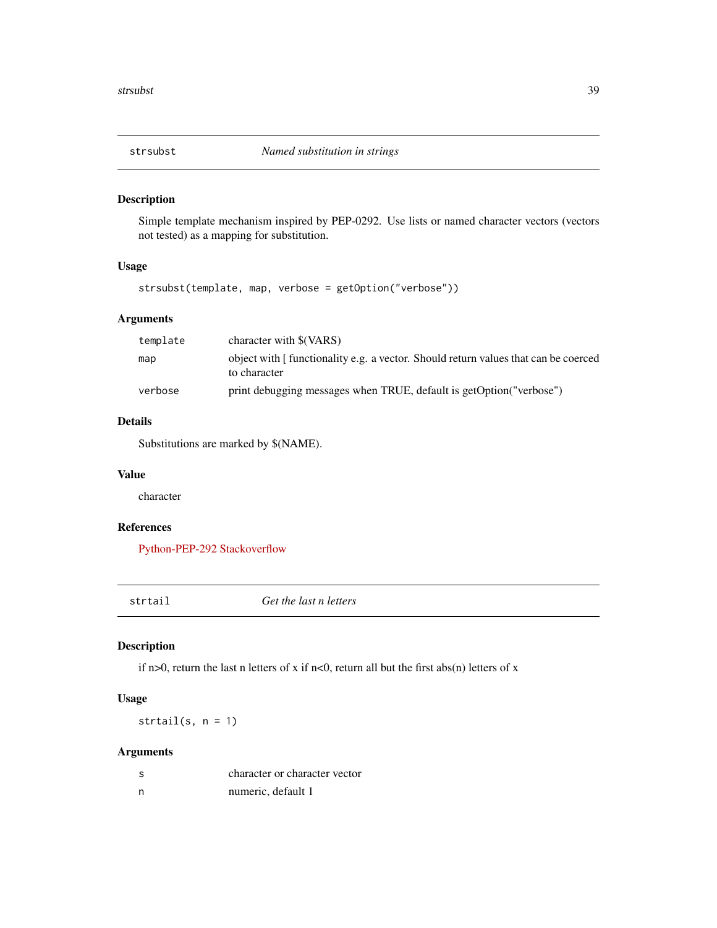<span id="page-38-0"></span>

Simple template mechanism inspired by PEP-0292. Use lists or named character vectors (vectors not tested) as a mapping for substitution.

#### Usage

strsubst(template, map, verbose = getOption("verbose"))

# Arguments

| template | character with \$(VARS)                                                                            |
|----------|----------------------------------------------------------------------------------------------------|
| map      | object with [functionality e.g. a vector. Should return values that can be coerced<br>to character |
| verbose  | print debugging messages when TRUE, default is getOption ("verbose")                               |

# Details

Substitutions are marked by \$(NAME).

#### Value

character

# References

[Python-PEP-292](http://www.python.org/dev/peps/pep-0292/) [Stackoverflow](http://stackoverflow.com/questions/8703398/conditional-gsub-replacement/)

| τr. | tai<br>J. |  |
|-----|-----------|--|
|     |           |  |
|     |           |  |

Get the last n letters

# Description

if n>0, return the last n letters of x if n<0, return all but the first abs(n) letters of x

# Usage

strtail(s, n = 1)

# Arguments

| -S | character or character vector |
|----|-------------------------------|
| n  | numeric, default 1            |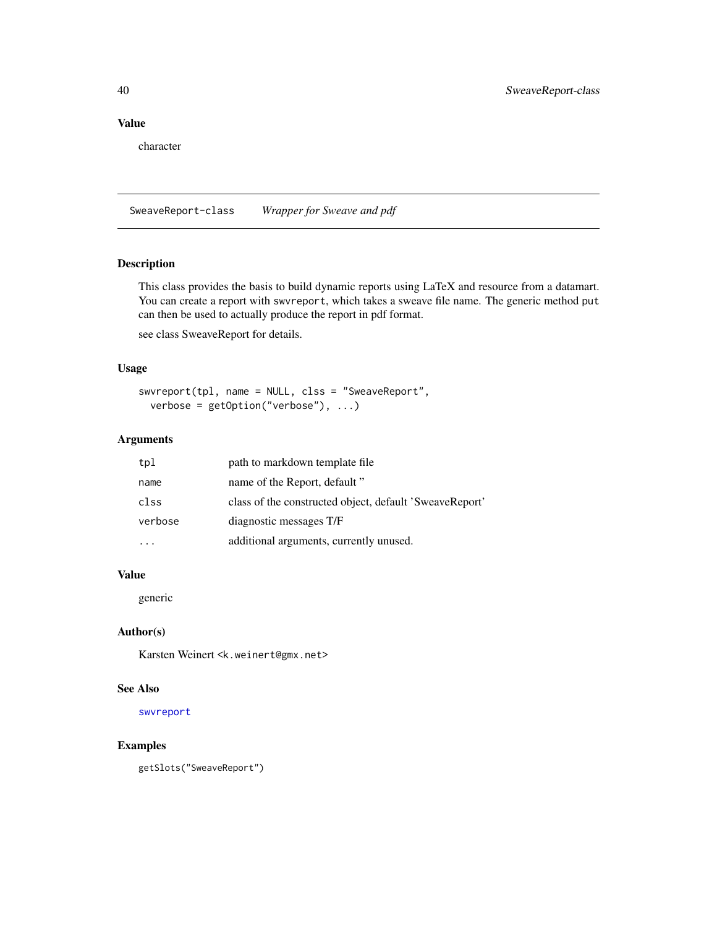# <span id="page-39-0"></span>Value

character

SweaveReport-class *Wrapper for Sweave and pdf*

# <span id="page-39-1"></span>Description

This class provides the basis to build dynamic reports using LaTeX and resource from a datamart. You can create a report with swvreport, which takes a sweave file name. The generic method put can then be used to actually produce the report in pdf format.

see class SweaveReport for details.

#### Usage

```
swvreport(tpl, name = NULL, clss = "SweaveReport",
 verbose = getOption("verbose"), ...)
```
#### Arguments

| tpl     | path to markdown template file.                         |
|---------|---------------------------------------------------------|
| name    | name of the Report, default "                           |
| clss    | class of the constructed object, default 'SweaveReport' |
| verbose | diagnostic messages T/F                                 |
|         | additional arguments, currently unused.                 |

#### Value

generic

# Author(s)

Karsten Weinert <k.weinert@gmx.net>

# See Also

[swvreport](#page-39-1)

#### Examples

getSlots("SweaveReport")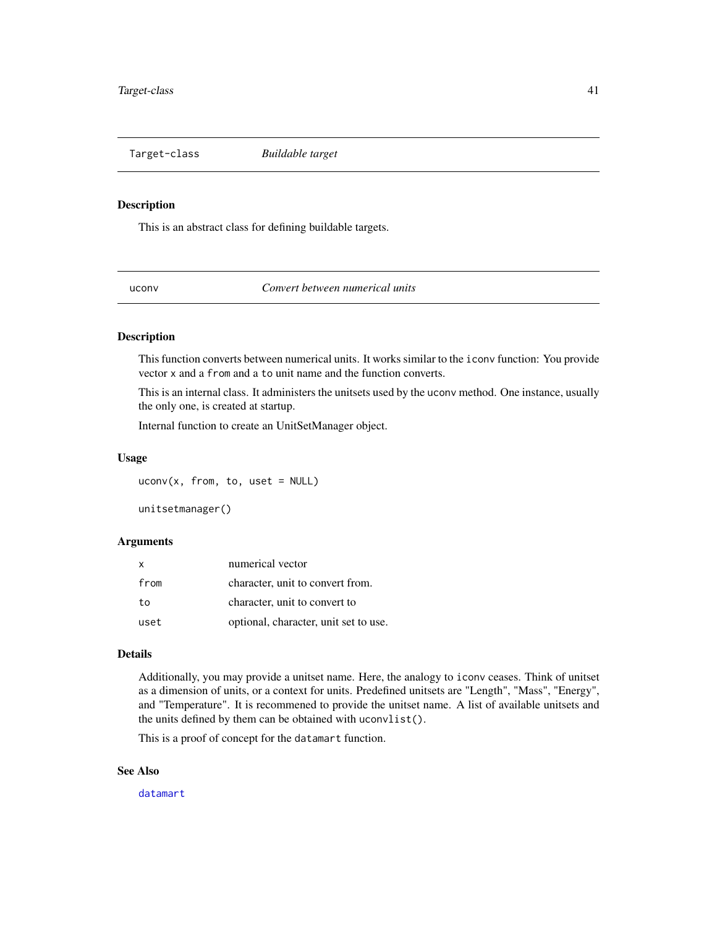<span id="page-40-0"></span>Target-class *Buildable target*

#### Description

This is an abstract class for defining buildable targets.

uconv *Convert between numerical units*

# Description

This function converts between numerical units. It works similar to the iconv function: You provide vector x and a from and a to unit name and the function converts.

This is an internal class. It administers the unitsets used by the uconv method. One instance, usually the only one, is created at startup.

Internal function to create an UnitSetManager object.

#### Usage

 $uconv(x, from, to, use t = NULL)$ 

unitsetmanager()

#### Arguments

| $\mathsf{x}$ | numerical vector                      |
|--------------|---------------------------------------|
| from         | character, unit to convert from.      |
| to           | character, unit to convert to         |
| uset         | optional, character, unit set to use. |

#### Details

Additionally, you may provide a unitset name. Here, the analogy to iconv ceases. Think of unitset as a dimension of units, or a context for units. Predefined unitsets are "Length", "Mass", "Energy", and "Temperature". It is recommened to provide the unitset name. A list of available unitsets and the units defined by them can be obtained with uconvlist().

This is a proof of concept for the datamart function.

#### See Also

[datamart](#page-18-1)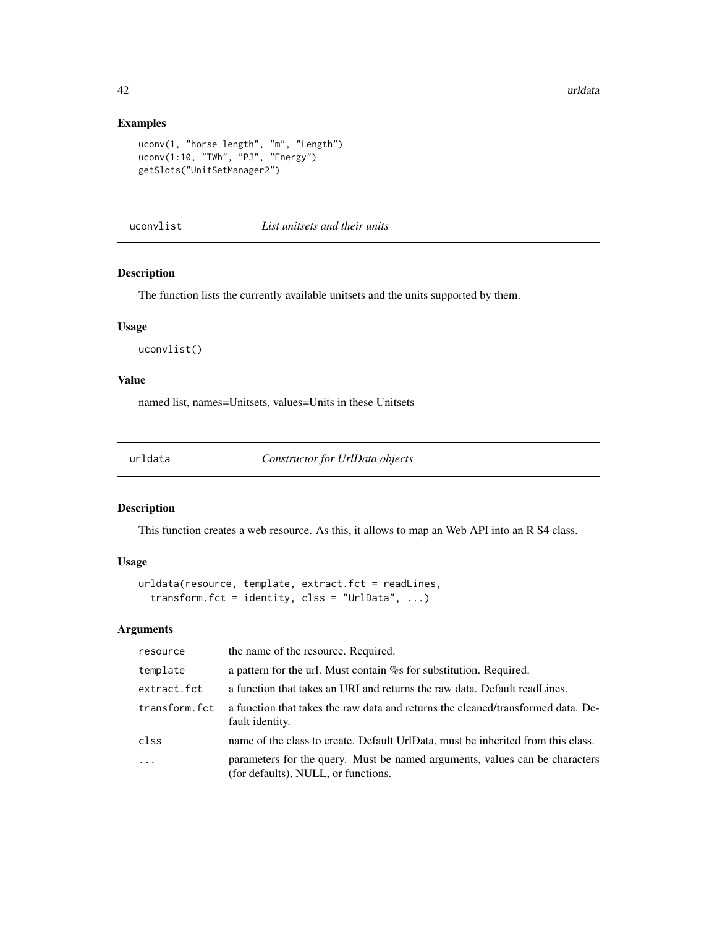# Examples

```
uconv(1, "horse length", "m", "Length")
uconv(1:10, "TWh", "PJ", "Energy")
getSlots("UnitSetManager2")
```
uconvlist *List unitsets and their units*

# Description

The function lists the currently available unitsets and the units supported by them.

#### Usage

uconvlist()

#### Value

named list, names=Unitsets, values=Units in these Unitsets

<span id="page-41-1"></span>urldata *Constructor for UrlData objects*

# Description

This function creates a web resource. As this, it allows to map an Web API into an R S4 class.

#### Usage

```
urldata(resource, template, extract.fct = readLines,
  transform.fct = identity, clss = "UrlData", \ldots)
```
# Arguments

| resource      | the name of the resource. Required.                                                                                |
|---------------|--------------------------------------------------------------------------------------------------------------------|
| template      | a pattern for the url. Must contain $\%$ s for substitution. Required.                                             |
| extract.fct   | a function that takes an URI and returns the raw data. Default readLines.                                          |
| transform.fct | a function that takes the raw data and returns the cleaned/transformed data. De-<br>fault identity.                |
| clss          | name of the class to create. Default UrlData, must be inherited from this class.                                   |
| $\ddots$      | parameters for the query. Must be named arguments, values can be characters<br>(for defaults), NULL, or functions. |

<span id="page-41-0"></span>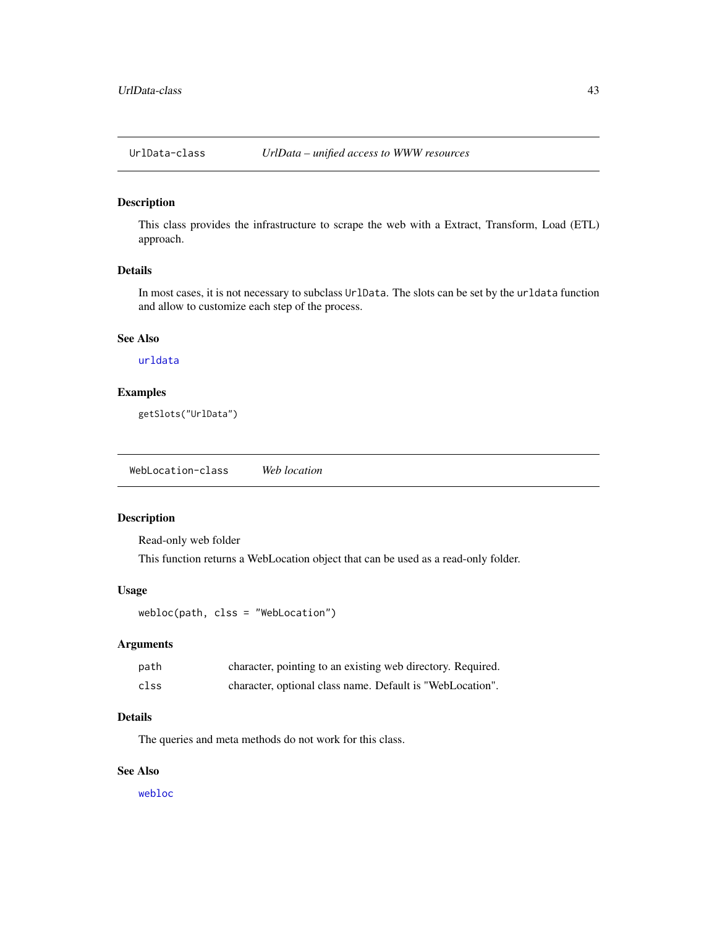<span id="page-42-0"></span>

This class provides the infrastructure to scrape the web with a Extract, Transform, Load (ETL) approach.

# Details

In most cases, it is not necessary to subclass UrlData. The slots can be set by the urldata function and allow to customize each step of the process.

# See Also

# [urldata](#page-41-1)

# Examples

getSlots("UrlData")

WebLocation-class *Web location*

#### <span id="page-42-1"></span>Description

Read-only web folder This function returns a WebLocation object that can be used as a read-only folder.

#### Usage

webloc(path, clss = "WebLocation")

#### Arguments

| path | character, pointing to an existing web directory. Required. |
|------|-------------------------------------------------------------|
| clss | character, optional class name. Default is "WebLocation".   |

#### Details

The queries and meta methods do not work for this class.

# See Also

[webloc](#page-42-1)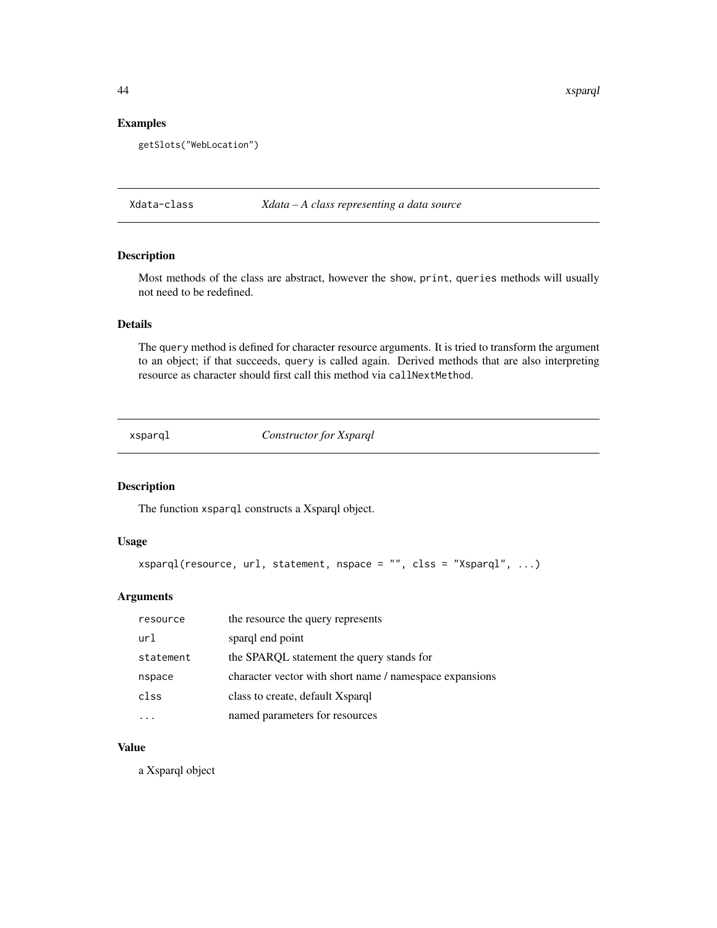44 xsparql

## Examples

getSlots("WebLocation")

Xdata-class *Xdata – A class representing a data source*

# Description

Most methods of the class are abstract, however the show, print, queries methods will usually not need to be redefined.

#### Details

The query method is defined for character resource arguments. It is tried to transform the argument to an object; if that succeeds, query is called again. Derived methods that are also interpreting resource as character should first call this method via callNextMethod.

<span id="page-43-1"></span>xsparql *Constructor for Xsparql*

#### Description

The function xsparql constructs a Xsparql object.

# Usage

```
xsparql(resource, url, statement, nspace = "", clss = "Xsparql", ...)
```
#### Arguments

| resource  | the resource the query represents                       |
|-----------|---------------------------------------------------------|
| url       | sparql end point                                        |
| statement | the SPARQL statement the query stands for               |
| nspace    | character vector with short name / namespace expansions |
| clss      | class to create, default Xsparql                        |
|           | named parameters for resources                          |

# Value

a Xsparql object

<span id="page-43-0"></span>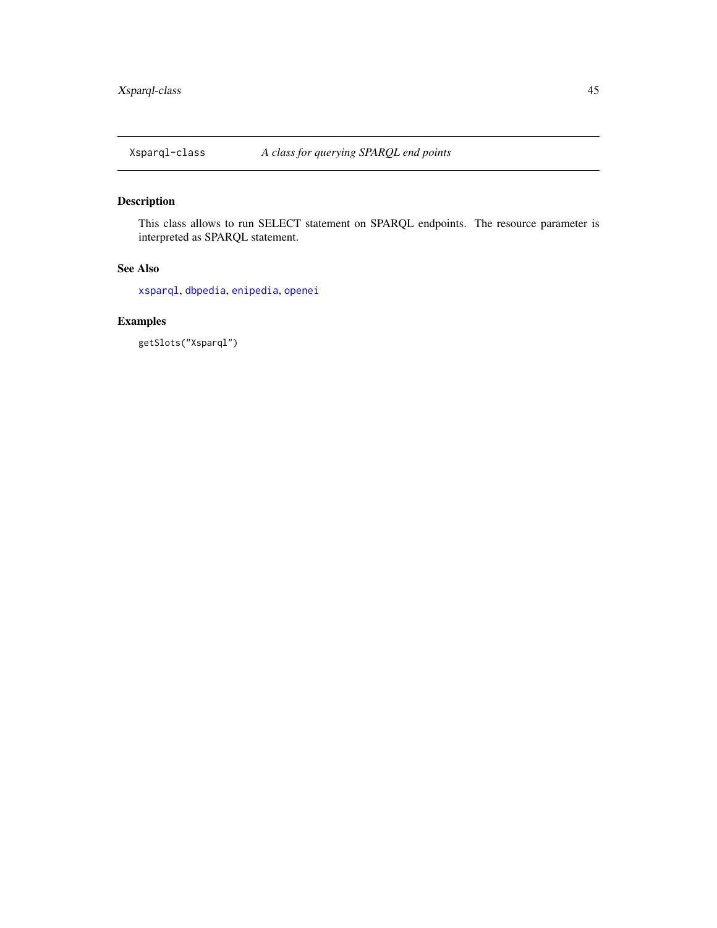<span id="page-44-0"></span>

This class allows to run SELECT statement on SPARQL endpoints. The resource parameter is interpreted as SPARQL statement.

# See Also

[xsparql](#page-43-1), [dbpedia](#page-8-1), [enipedia](#page-10-2), [openei](#page-23-1)

# Examples

getSlots("Xsparql")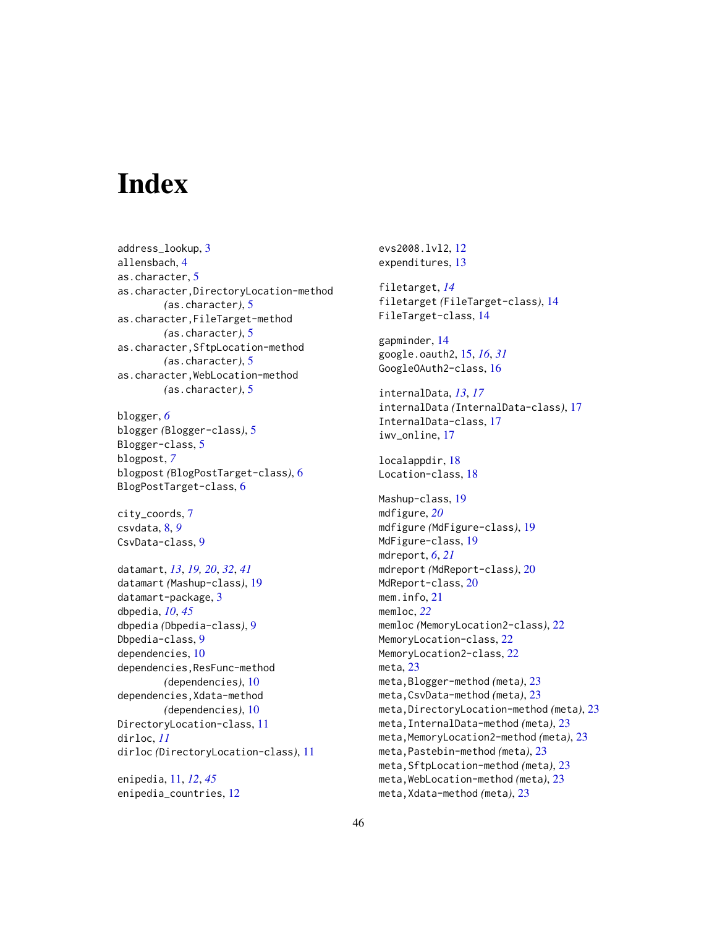# <span id="page-45-0"></span>**Index**

address\_lookup, [3](#page-2-0) allensbach, [4](#page-3-0) as.character, [5](#page-4-0) as.character,DirectoryLocation-method *(*as.character*)*, [5](#page-4-0) as.character,FileTarget-method *(*as.character*)*, [5](#page-4-0) as.character,SftpLocation-method *(*as.character*)*, [5](#page-4-0) as.character,WebLocation-method *(*as.character*)*, [5](#page-4-0)

blogger, *[6](#page-5-0)* blogger *(*Blogger-class*)*, [5](#page-4-0) Blogger-class, [5](#page-4-0) blogpost, *[7](#page-6-0)* blogpost *(*BlogPostTarget-class*)*, [6](#page-5-0) BlogPostTarget-class, [6](#page-5-0)

city\_coords, [7](#page-6-0) csvdata, [8,](#page-7-0) *[9](#page-8-0)* CsvData-class, [9](#page-8-0)

datamart, *[13](#page-12-0)*, *[19,](#page-18-0) [20](#page-19-0)*, *[32](#page-31-0)*, *[41](#page-40-0)* datamart *(*Mashup-class*)*, [19](#page-18-0) datamart-package, [3](#page-2-0) dbpedia, *[10](#page-9-0)*, *[45](#page-44-0)* dbpedia *(*Dbpedia-class*)*, [9](#page-8-0) Dbpedia-class, [9](#page-8-0) dependencies, [10](#page-9-0) dependencies,ResFunc-method *(*dependencies*)*, [10](#page-9-0) dependencies,Xdata-method *(*dependencies*)*, [10](#page-9-0) DirectoryLocation-class, [11](#page-10-0) dirloc, *[11](#page-10-0)* dirloc *(*DirectoryLocation-class*)*, [11](#page-10-0)

enipedia, [11,](#page-10-0) *[12](#page-11-0)*, *[45](#page-44-0)* enipedia\_countries, [12](#page-11-0) evs2008.lvl2, [12](#page-11-0) expenditures, [13](#page-12-0) filetarget, *[14](#page-13-0)* filetarget *(*FileTarget-class*)*, [14](#page-13-0) FileTarget-class, [14](#page-13-0) gapminder, [14](#page-13-0) google.oauth2, [15,](#page-14-0) *[16](#page-15-0)*, *[31](#page-30-0)* GoogleOAuth2-class, [16](#page-15-0) internalData, *[13](#page-12-0)*, *[17](#page-16-0)* internalData *(*InternalData-class*)*, [17](#page-16-0) InternalData-class, [17](#page-16-0) iwv\_online, [17](#page-16-0) localappdir, [18](#page-17-0) Location-class, [18](#page-17-0) Mashup-class, [19](#page-18-0) mdfigure, *[20](#page-19-0)* mdfigure *(*MdFigure-class*)*, [19](#page-18-0) MdFigure-class, [19](#page-18-0) mdreport, *[6](#page-5-0)*, *[21](#page-20-0)* mdreport *(*MdReport-class*)*, [20](#page-19-0) MdReport-class, [20](#page-19-0) mem.info, [21](#page-20-0) memloc, *[22](#page-21-0)* memloc *(*MemoryLocation2-class*)*, [22](#page-21-0) MemoryLocation-class, [22](#page-21-0) MemoryLocation2-class, [22](#page-21-0) meta, [23](#page-22-0) meta,Blogger-method *(*meta*)*, [23](#page-22-0) meta,CsvData-method *(*meta*)*, [23](#page-22-0) meta,DirectoryLocation-method *(*meta*)*, [23](#page-22-0) meta,InternalData-method *(*meta*)*, [23](#page-22-0) meta,MemoryLocation2-method *(*meta*)*, [23](#page-22-0) meta,Pastebin-method *(*meta*)*, [23](#page-22-0) meta,SftpLocation-method *(*meta*)*, [23](#page-22-0) meta, WebLocation-method *(meta)*, [23](#page-22-0) meta,Xdata-method *(*meta*)*, [23](#page-22-0)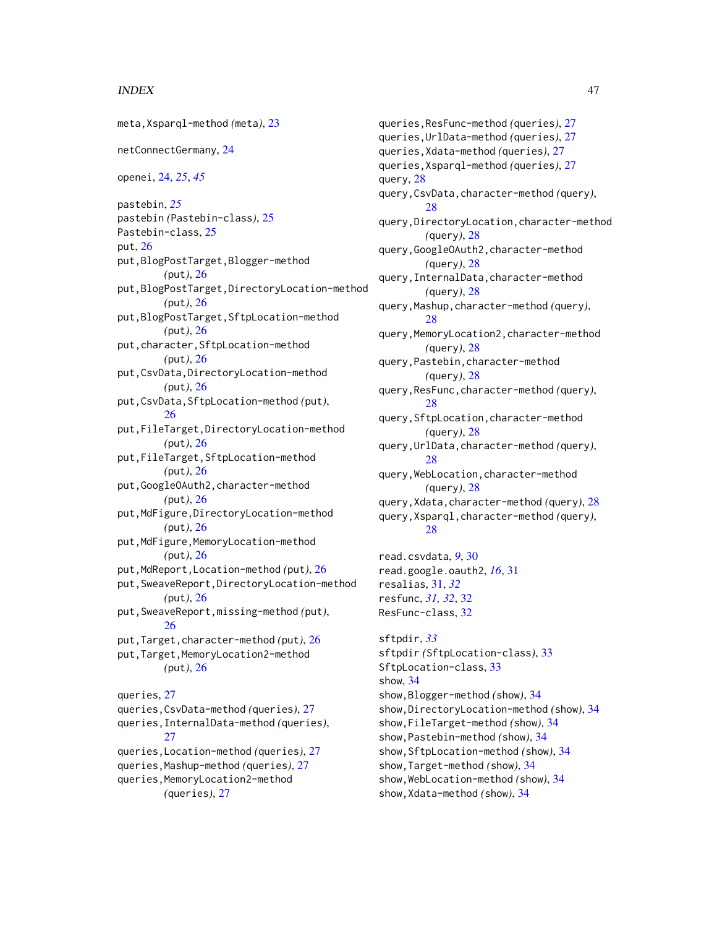#### INDEX 47

meta,Xsparql-method *(*meta*)*, [23](#page-22-0) netConnectGermany, [24](#page-23-0) openei, [24,](#page-23-0) *[25](#page-24-0)*, *[45](#page-44-0)* pastebin, *[25](#page-24-0)* pastebin *(*Pastebin-class*)*, [25](#page-24-0) Pastebin-class, [25](#page-24-0) put, [26](#page-25-0) put,BlogPostTarget,Blogger-method *(*put*)*, [26](#page-25-0) put,BlogPostTarget,DirectoryLocation-method *(*put*)*, [26](#page-25-0) put,BlogPostTarget,SftpLocation-method *(*put*)*, [26](#page-25-0) put,character,SftpLocation-method *(*put*)*, [26](#page-25-0) put,CsvData,DirectoryLocation-method *(*put*)*, [26](#page-25-0) put,CsvData,SftpLocation-method *(*put*)*, [26](#page-25-0) put,FileTarget,DirectoryLocation-method *(*put*)*, [26](#page-25-0) put,FileTarget,SftpLocation-method *(*put*)*, [26](#page-25-0) put,GoogleOAuth2,character-method *(*put*)*, [26](#page-25-0) put,MdFigure,DirectoryLocation-method *(*put*)*, [26](#page-25-0) put, MdFigure, MemoryLocation-method *(*put*)*, [26](#page-25-0) put,MdReport,Location-method *(*put*)*, [26](#page-25-0) put,SweaveReport,DirectoryLocation-method *(*put*)*, [26](#page-25-0) put,SweaveReport,missing-method *(*put*)*, [26](#page-25-0) put,Target,character-method *(*put*)*, [26](#page-25-0) put, Target, MemoryLocation2-method *(*put*)*, [26](#page-25-0) queries, [27](#page-26-0) queries,CsvData-method *(*queries*)*, [27](#page-26-0) queries,InternalData-method *(*queries*)*, [27](#page-26-0) queries,Location-method *(*queries*)*, [27](#page-26-0) queries,Mashup-method *(*queries*)*, [27](#page-26-0) queries,MemoryLocation2-method *(*queries*)*, [27](#page-26-0)

queries,ResFunc-method *(*queries*)*, [27](#page-26-0) queries,UrlData-method *(*queries*)*, [27](#page-26-0) queries,Xdata-method *(*queries*)*, [27](#page-26-0) queries,Xsparql-method *(*queries*)*, [27](#page-26-0) query, [28](#page-27-0) query,CsvData,character-method *(*query*)*, [28](#page-27-0) query,DirectoryLocation,character-method *(*query*)*, [28](#page-27-0) query,GoogleOAuth2,character-method *(*query*)*, [28](#page-27-0) query,InternalData,character-method *(*query*)*, [28](#page-27-0) query,Mashup,character-method *(*query*)*, [28](#page-27-0) query,MemoryLocation2,character-method *(*query*)*, [28](#page-27-0) query,Pastebin,character-method *(*query*)*, [28](#page-27-0) query,ResFunc,character-method *(*query*)*, [28](#page-27-0) query,SftpLocation,character-method *(*query*)*, [28](#page-27-0) query,UrlData,character-method *(*query*)*, [28](#page-27-0) query,WebLocation,character-method *(*query*)*, [28](#page-27-0) query,Xdata,character-method *(*query*)*, [28](#page-27-0) query,Xsparql,character-method *(*query*)*, [28](#page-27-0) read.csvdata, *[9](#page-8-0)*, [30](#page-29-0) read.google.oauth2, *[16](#page-15-0)*, [31](#page-30-0) resalias, [31,](#page-30-0) *[32](#page-31-0)* resfunc, *[31,](#page-30-0) [32](#page-31-0)*, [32](#page-31-0) ResFunc-class, [32](#page-31-0) sftpdir, *[33](#page-32-0)* sftpdir *(*SftpLocation-class*)*, [33](#page-32-0) SftpLocation-class, [33](#page-32-0) show, [34](#page-33-0) show,Blogger-method *(*show*)*, [34](#page-33-0) show,DirectoryLocation-method *(*show*)*, [34](#page-33-0) show,FileTarget-method *(*show*)*, [34](#page-33-0) show,Pastebin-method *(*show*)*, [34](#page-33-0) show,SftpLocation-method *(*show*)*, [34](#page-33-0) show,Target-method *(*show*)*, [34](#page-33-0) show,WebLocation-method *(*show*)*, [34](#page-33-0) show,Xdata-method *(*show*)*, [34](#page-33-0)